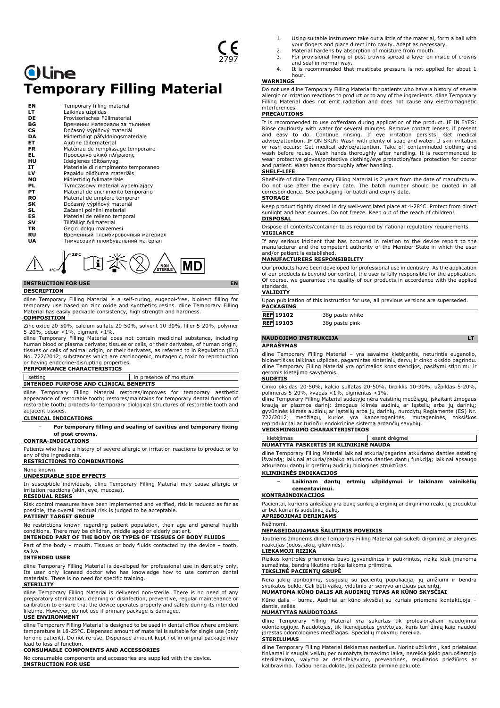# **Oline Temporary Filling Material**

| EN        | Temporary filling material          |
|-----------|-------------------------------------|
| LT        | Laikinas užpildas                   |
| DE        | Provisorisches Füllmaterial         |
| ВG        | Временни материали за пълнене       |
| СS        | Dočasný výplňový materiál           |
| DA        | Midlertidigt påfyldningsmateriale   |
| ET        | Ajutine täitematerjal               |
| <b>FR</b> | Matériau de remplissage temporaire  |
| EL.       | Προσωρινό υλικό πλήρωσης            |
| HU        | Ideiglenes töltőanyag               |
| IT        | Materiale di riempimento temporaneo |
| LV        | Pagaidu pildījuma materiāls         |
| <b>NO</b> | Midlertidig fyllmateriale           |
| PL        | Tymczasowy materiał wypełniający    |
| PТ        | Material de enchimento temporário   |
| RO        | Material de umplere temporar        |
| SK        | Dočasný výplňový materiál           |
| SL        | Začasni polnilni material           |
| ES        | Material de relleno temporal        |
| sv        | Tillfälligt fyllmaterial            |
| TR.       | Gecici dolgu malzemesi              |
| RU        | Временный пломбировочный материал   |
| UA        | Тимчасовий пломбувальний матеріал   |
|           |                                     |



## **INSTRUCTION FOR USE EN**

#### **DESCRIPTION**

dline Temporary Filling Material is a self-curing, eugenol-free, bioinert filling for temporary use based on zinc oxide and synthetics resins. dline Temporary Filling Material has easily packable consistency, high strength and hardness. **COMPOSITION**

Zinc oxide 20-50%, calcium sulfate 20-50%, solvent 10-30%, filler 5-20%, polymer 5-20%, odour <1%, pigment <1%.

dline Temporary Filling Material does not contain medicinal substance, including human blood or plasma derivate; tissues or cells, or their derivates, of human origin; tissues or cells of animal origin, or their derivates, as referred to in Regulation (EU) No. 722/2012; substances which are carcinogenic, mutagenic, toxic to reproduction or having endocrine-disrupting properties.

## **PERFORMANCE CHARACTERISTICS**

#### setting in presence of moisture **INTENDED PURPOSE AND CLINICAL BENEFITS**

dline Temporary Filling Material restores/improves for temporary aesthetic appearance of restorable tooth; restores/maintains for temporary dental function of restorable tooth; protects for temporary biological structures of restorable tooth and adjacent tissues.

#### **CLINICAL INDICATIONS**

− **For temporary filling and sealing of cavities and temporary fixing of post crowns.**

### **CONTRA-INDICATIONS**

Patients who have a history of severe allergic or irritation reactions to product or to any of the ingredients.

#### **RESTRICTIONS TO COMBINATIONS** None known.

## **UNDESIRABLE SIDE EFFECTS**

In susceptible individuals, dline Temporary Filling Material may cause allergic or irritation reactions (skin, eye, mucosa).

### **RESIDUAL RISKS**

Risk control measures have been implemented and verified, risk is reduced as far as possible, the overall residual risk is judged to be acceptable. **PATIENT TARGET GROUP**

No restrictions known regarding patient population, their age and general health conditions. There may be children, middle aged or elderly patient.

**INTENDED PART OF THE BODY OR TYPES OF TISSUES OF BODY FLUIDS** Part of the body - mouth. Tissues or body fluids contacted by the device - tooth, saliva.

#### **INTENDED USER**

dline Temporary Filling Material is developed for professional use in dentistry only. Its user only licensed doctor who has knowledge how to use common dental materials. There is no need for specific training.

#### **STERILITY**

dline Temporary Filling Material is delivered non-sterile. There is no need of any preparatory sterilization, cleaning or disinfection, preventive, regular maintenance or calibration to ensure that the device operates properly and safely during its intended lifetime. However, do not use if primary package is damaged.

## **USE ENVIRONMENT**

dline Temporary Filling Material is designed to be used in dental office where ambient temperature is 18-25°C. Dispensed amount of material is suitable for single use (only for one patient). Do not re-use. Dispensed amount kept not in original package may lead to loss of function.

## **CONSUMABLE COMPONENTS AND ACCESSORIES**

No consumable components and accessories are supplied with the device. **INSTRUCTION FOR USE**

- 1. Using suitable instrument take out a little of the material, form a ball with
- your fingers and place direct into cavity. Adapt as necessary. 2. Material hardens by absorption of moisture from mouth.
- 3. For provisional fixing of post crowns spread a layer on inside of crowns and seal in normal way.
- 4. It is recommended that masticate pressure is not applied for about 1 hour.

## **WARNINGS**

Do not use dline Temporary Filling Material for patients who have a history of severe allergic or irritation reactions to product or to any of the ingredients. dline Temporary Filling Material does not emit radiation and does not cause any electromagnetic interferences.

## **PRECAUTIONS**

It is recommended to use cofferdam during application of the product. IF IN EYES: Rinse cautiously with water for several minutes. Remove contact lenses, if present<br>and easy to do. Continue rinsing. If eye irritation persists: Get medical<br>advice/attention. IF ON SKIN: Wash with plenty of soap and water. wash before reuse. Wash hands thoroughly after handling. It is recommended to wear protective gloves/protective clothing/eye protection/face protection for doctor and patient. Wash hands thoroughly after handling.

## **SHELF-LIFE**

Shelf-life of dline Temporary Filling Material is 2 years from the date of manufacture. Do not use after the expiry date. The batch number should be quoted in all correspondence. See packaging for batch and expiry date. **STORAGE**

Keep product tightly closed in dry well-ventilated place at 4-28°C. Protect from direct sunlight and heat sources. Do not freeze. Keep out of the reach of children! **DISPOSAL**

Dispose of contents/container to as required by national regulatory requirements. **VIGILANCE**

If any serious incident that has occurred in relation to the device report to the manufacturer and the competent authority of the Member State in which the user and/or patient is established.

## **MANUFACTURERS RESPONSIBILITY**

Our products have been developed for professional use in dentistry. As the application of our products is beyond our control, the user is fully responsible for the application. Of course, we guarantee the quality of our products in accordance with the applied standards.

#### **VALIDITY**

Upon publication of this instruction for use, all previous versions are superseded. **PACKAGING**

| <b>REF</b> 19102 | 38q paste white |
|------------------|-----------------|
| <b>REF</b> 19103 | 38q paste pink  |

# **NAUDOJIMO INSTRUKCIJA LT**

**APRAŠYMAS**

dline Temporary Filling Material – yra savaime kietėjantis, neturintis eugenolio, bioinertiškas laikinas užpildas, pagamintas sintetinių dervų ir cinko oksido pagrindu. dline Temporary Filling Material yra optimalios konsistencijos, pasižymi stiprumu ir geromis kietėjimo savybėmis.

#### **SUDĖTIS**

Cinko oksidas 20-50%, kalcio sulfatas 20-50%, tirpiklis 10-30%, užpildas 5-20%,

polimeras 5-20%, kvapas <1%, pigmentas <1%. dline Temporary Filling Material sudėtyje nėra vaistinių medžiagų, įskaitant žmogaus kraują ar plazmos darinį; žmogaus kilmės audinių ar ląstelių arba jų darinių;<br>gyvūninės kilmės audinių ar ląstelių arba jų darinių, nurodytų Reglamente (ES) Nr.<br>722/2012; medžiagų, kurios yra kancerogeninės, mutageninės, t

## **VEIKSMINGUMO CHARAKTERISTIKOS** kietėjimas esant drėgmei

## **NUMATYTA PASKIRTIS IR KLINIKINĖ NAUDA**

dline Temporary Filling Material laikinai atkuria/pagerina atkuriamo danties estetinę išvaizdą; laikinai atkuria/palaiko atkuriamo danties dantų funkciją; laikinai apsaugo atkuriamų dantų ir gretimų audinių biologines struktūras.

## **KLINIKINĖS INDIKACIJOS**

− **Laikinam dantų ertmių užpildymui ir laikinam vainikėlių cementavimui.**

#### **KONTRAINDIKACIJOS**

Pacientai, kuriems anksčiau yra buvę sunkių alerginių ar dirginimo reakcijų produktui ar bet kuriai iš sudėtinių dalių.

**APRIBOJIMAI DERINIAMS** Nežinomi.

## **NEPAGEIDAUJAMAS ŠALUTINIS POVEIKIS**

Jautriems žmonėms dline Temporary Filling Material gali sukelti dirginimą ar alergines reakcijas (odos, akių, gleivinės).

### **LIEKAMOJI RIZIKA**

Rizikos kontrolės priemonės buvo įgyvendintos ir patikrintos, rizika kiek įmanoma sumažinta, bendra likutinė rizika laikoma priimtina.

## **TIKSLINĖ PACIENTŲ GRUPĖ**

Nėra jokių apribojimų, susijusių su pacientų populiacija, jų amžiumi ir bendra sveikatos bukle. Gali būti vaikų, vidutinio ar senyvo amžiaus pacientų. **NUMATOMA KŪNO DALIS AR AUDINIŲ TIPAS AR KŪNO SKYSČIAI**

## Kūno dalis – burna. Audiniai ar kūno skysčiai su kuriais priemonė kontaktuoja –

dantis, seilės. **NUMATYTAS NAUDOTOJAS**

dline Temporary Filling Material yra sukurtas tik profesionaliam naudojimui odontologijoje. Naudotojas, tik licencijuotas gydytojas, kuris turi žinių kaip naudoti įprastas odontologines medžiagas. Specialių mokymų nereikia. **STERILUMAS**

#### dline Temporary Filling Material tiekiamas nesterilus. Norint užtikrinti, kad prietaisas tinkamai ir saugiai veiktų per numatytą tarnavimo laiką, nereikia jokio paruošiamojo sterilizavimo, valymo ar dezinfekavimo, prevencinės, reguliarios priežiūros ar kalibravimo. Tačiau nenaudokite, jei pažeista pirminė pakuotė.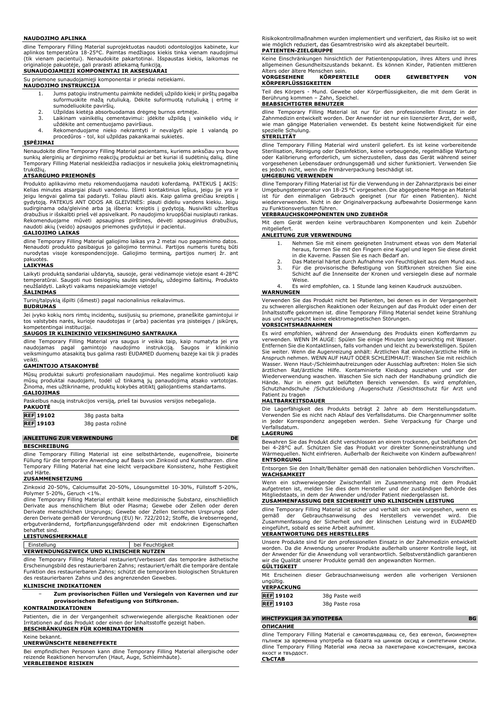#### **NAUDOJIMO APLINKA**

dline Temporary Filling Material suprojektuotas naudoti odontologijos kabinete, kur aplinkos temperatūra 18-25°C. Paimtas medžiagos kiekis tinka vienam naudojimui (tik vienam pacientui). Nenaudokite pakartotinai. Išspaustas kiekis, laikomas ne originalioje pakuotėje, gali prarasti atliekamą funkciją.

## **SUNAUDOJAMIEJI KOMPONENTAI IR AKSESUARAI**

Su priemone sunaudojamieji komponentai ir priedai netiekiami.

## **NAUDOJIMO INSTRUKCIJA**

- 1. Jums patogiu instrumentu paimkite nedidelį užpildo kiekį ir pirštų pagalba suformuokite mažą rutuliuką. Dėkite suformuotą rutuliuką į ertmę ir sumodeliuokite paviršių.
- 2. Užpildas kietėja absorbuodamas drėgmę burnos ertmėje. 3. Laikinam vainikėlių cementavimui: įdėkite užpildą į vainikėlio vidų ir
- 
- uždėkite ant cementuojamo paviršiaus. 4. Rekomenduojame nieko nekramtyti ir nevalgyti apie 1 valandą po procedūros - tol, kol užpildas pakankamai sukietės.

## **ĮSPĖJIMAI**

Nenaudokite dline Temporary Filling Material pacientams, kuriems anksčiau yra buvę sunkių alerginių ar dirginimo reakcijų produktui ar bet kuriai iš sudėtinių dalių. dline Temporary Filling Material neskleidžia radiacijos ir nesukelia jokių elektromagnetinių trukdžių.

#### **ATSARGUMO PRIEMONĖS**

Produkto aplikavimo metu rekomenduojama naudoti koferdamą. PATEKUS Į AKIS:<br>Kelias minutes atsargiai plauti vandeniu. Išimti kontaktinius lęšius, jeigu jie yra ir<br>jeigu lengvai galima tai padaryti. Toliau plauti akis. Kaip gydytoją. PATEKUS ANT ODOS AR GLEIVINĖS: plauti dideliu vandens kiekiu. Jeigu sudirginama oda/gleivinė arba ją išberia: kreiptis į gydytoją. Nusivilkti užterštus drabužius ir išskalbti prieš vėl apsivelkant. Po naudojimo kruopščiai nusiplauti rankas. Rekomenduojame mūvėti apsaugines pirštines, dėvėti apsauginius drabužius, naudoti akių (veido) apsaugos priemones gydytojui ir pacientui.

## **GALIOJIMO LAIKAS**

dline Temporary Filling Material galiojimo laikas yra 2 metai nuo pagaminimo datos. Nenaudoti produkto pasibaigus jo galiojimo terminui. Partijos numeris turėtų būti nurodytas visoje korespondencijoje. Galiojimo terminą, partijos numerį žr. ant

# pakuotės. **LAIKYMAS**

Laikyti produktą sandariai uždarytą, sausoje, gerai vėdinamoje vietoje esant 4-28°C temperatūrai. Saugoti nuo tiesioginių saulės spindulių, uždegimo šaltinių. Produkto neužšaldyti. Laikyti vaikams nepasiekiamoje vietoje!

## **ŠALINIMAS**

Turinį/talpyklą išpilti (išmesti) pagal nacionalinius reikalavimus. **BUDRUMAS**

Jei įvyko kokių nors rimtų incidentų, susijusių su priemone, praneškite gamintojui ir tos valstybės narės, kurioje naudotojas ir (arba) pacientas yra įsisteigęs / įsikūręs, kompetentingai institucijai.

## **SAUGOS IR KLINIKINIO VEIKSMINGUMO SANTRAUKA**

dline Temporary Filling Material yra saugus ir veikia taip, kaip numatyta jei yra naudojamas pagal gamintojo naudojimo instrukciją. Saugos ir klinikinio veiksmingumo atasakitą bus galima rasti EUDAMED duomenų bazėje kai tik ji pradės veikti.

#### **GAMINTOJO ATSAKOMYBĖ**

Mūsų produktai sukurti profesionaliam naudojimui. Mes negalime kontroliuoti kaip mūsų produktai naudojami, todėl už tinkamą jų panaudojimą atsako vartotojas. Žinoma, mes užtikriname, produktų kokybės atitiktį galiojantiems standartams. **GALIOJIMAS**

| <b>PAKUOTE</b>   | Paskelbus naują instrukcijos versiją, prieš tai buvusios versijos nebegalioja. |
|------------------|--------------------------------------------------------------------------------|
| <b>REF</b> 19102 | 38g pasta balta                                                                |

| <b>REF</b> 19103 | 38g pasta rožinė |
|------------------|------------------|
|                  |                  |

## **ANLEITUNG ZUR VERWENDUNG DE**

### **BESCHREIBUNG**

dline Temporary Filling Material ist eine selbsthärtende, eugenolfreie, bioinerte Füllung für die temporäre Anwendung auf Basis von Zinkoxid und Kunstharzen. dline Temporary Filling Material hat eine leicht verpackbare Konsistenz, hohe Festigkeit und Härte.

## **ZUSAMMENSETZUNG**

Zinkoxid 20-50%, Calciumsulfat 20-50%, Lösungsmittel 10-30%, Füllstoff 5-20%, Polymer 5-20%, Geruch <1%.

dline Temporary Filling Material enthält keine medizinische Substanz, einschließlich<br>Derivate aus menschlichem Blut oder Plasma; Gewebe oder Zellen oder deren<br>Derivate menschlichen Ursprungs; Gewebe oder Zellen tierischen erbgutverändernd, fortpflanzungsgefährdend oder mit endokrinen Eigenschaften behaftet sind.

## **LEISTUNGSMERKMALE**

Einstellung bei Feuchtigkeit **VERWENDUNGSZWECK UND KLINISCHER NUTZEN**

dline Temporary Filling Material restauriert/verbessert das temporäre ästhetische Erscheinungsbild des restaurierbaren Zahns; restauriert/erhält die temporäre dentale Funktion des restaurierbaren Zahns; schützt die temporären biologischen Strukturen des restaurierbaren Zahns und des angrenzenden Gewebes.

#### **KLINISCHE INDIKATIONEN**

− **Zum provisorischen Füllen und Versiegeln von Kavernen und zur provisorischen Befestigung von Stiftkronen.**

## **KONTRAINDIKATIONEN**

Patienten, die in der Vergangenheit schwerwiegende allergische Reaktionen oder auf das Produkt oder einen der Inhaltsstoffe gezeigt haben. **BESCHRÄNKUNGEN FÜR KOMBINATIONEN**

#### Keine bekannt.

## **UNERWÜNSCHTE NEBENEFFEKTE**

Bei empfindlichen Personen kann dline Temporary Filling Material allergische oder reizende Reaktionen hervorrufen (Haut, Auge, Schleimhäute). **VERBLEIBENDE RISIKEN**

Risikokontrollmaßnahmen wurden implementiert und verifiziert, das Risiko ist so weit wie möglich reduziert, das Gesamtrestrisiko wird als akzeptabel beurteilt. **PATIENTEN-ZIELGRUPPE**

Keine Einschränkungen hinsichtlich der Patientenpopulation, ihres Alters und ihres allgemeinen Gesundheitszustands bekannt. Es können Kinder, Patienten mittleren Alters oder ältere Menschen sein.

| <b>VORGESEHENE</b>         | KÖRPERTEILE | <b>ODER</b> | <b>GEWEBETYPEN</b> | VON |
|----------------------------|-------------|-------------|--------------------|-----|
| <b>KÖRPERFLÜSSIGKEITEN</b> |             |             |                    |     |

Teil des Körpers - Mund. Gewebe oder Körperflüssigkeiten, die mit dem Gerät in Berührung kommen – Zahn, Speichel.

## **BEABSICHTIGTER BENUTZER**

dline Temporary Filling Material ist nur für den professionellen Einsatz in der Zahnmedizin entwickelt worden. Der Anwender ist nur ein lizenzierter Arzt, der weiß, wie man gängige Materialien verwendet. Es besteht keine Notwendigkeit für eine spezielle Schulung.

## **STERILITÄT**

dline Temporary Filling Material wird unsteril geliefert. Es ist keine vorbereitende Sterilisation, Reinigung oder Desinfektion, keine vorbeugende, regelmäßige Wartung oder Kalibrierung erforderlich, um sicherzustellen, dass das Gerät während seiner vorgesehenen Lebensdauer ordnungsgemäß und sicher funktioniert. Verwenden Sie es jedoch nicht, wenn die Primärverpackung beschädigt ist.

#### **UMGEBUNG VERWENDEN**

dline Temporary Filling Material ist für die Verwendung in der Zahnarztpraxis bei einer Umgebungstemperatur von 18-25 °C vorgesehen. Die abgegebene Menge an Material ist für den einmaligen Gebrauch geeignet (nur für einen Patienten). Nicht wiederverwenden. Nicht in der Originalverpackung aufbewahrte Dosiermenge kann zu Funktionsverlusten führen.

### **VERBRAUCHSKOMPONENTEN UND ZUBEHÖR**

Mit dem Gerät werden keine verbrauchbaren Komponenten und kein Zubehör mitgeliefert.

## **ANLEITUNG ZUR VERWENDUNG**

- 1. Nehmen Sie mit einem geeigneten Instrument etwas von dem Material heraus, formen Sie mit den Fingern eine Kugel und legen Sie diese direkt in die Kaverne. Passen Sie es nach Bedarf an.
- 2. Das Material härtet durch Aufnahme von Feuchtigkeit aus dem Mund aus. 3. Für die provisorische Befestigung von Stiftkronen streichen Sie eine Schicht auf die Innenseite der Kronen und versiegeln diese auf normale Weise.

4. Es wird empfohlen, ca. 1 Stunde lang keinen Kaudruck auszuüben.

### **WARNUNGEN**

Verwenden Sie das Produkt nicht bei Patienten, bei denen es in der Vergangenheit zu schweren allergischen Reaktionen oder Reizungen auf das Produkt oder ei Inhaltsstoffe gekommen ist. dline Temporary Filling Material sendet keine Strahlung aus und verursacht keine elektromagnetischen Störungen.

## **VORSICHTSMAßNAHMEN**

Es wird empfohlen, während der Anwendung des Produkts einen Kofferdamm zu verwenden. WENN IM AUGE: Spülen Sie einige Minuten lang vorsichtig mit Wasser. Entfernen Sie die Kontaktlinsen, falls vorhanden und leicht zu bewerkstelligen. Spülen Sie weiter. Wenn die Augenreizung anhält: Ärztlichen Rat einholen/ärztliche Hilfe in Anspruch nehmen. WENN AUF HAUT ODER SCHLEIMHAUT: Waschen Sie mit reichlich Wasser. Wenn Haut-/Schleimhautreizungen oder Ausschlag auftreten: Holen Sie sich ärztlichen Rat/ärztliche Hilfe. Kontaminierte Kleidung ausziehen und vor der<br>Wiederverwendung waschen. Waschen Sie-sich nach der Handhabung gründlich die<br>Hände. Nur in einem gut belüfteten Bereich verwenden. Es wird empfoh Schutzhandschuhe /Schutzkleidung /Augenschutz /Gesichtsschutz für Arzt und Patient zu tragen

## **HALTBARKEITSDAUER**

Die Lagerfähigkeit des Produkts beträgt 2 Jahre ab dem Herstellungsdatum. Verwenden Sie es nicht nach Ablauf des Verfallsdatums. Die Chargennummer sollte in jeder Korrespondenz angegeben werden. Siehe Verpackung für Charge und Verfallsdatum.

#### **LAGERUNG**

Bewahren Sie das Produkt dicht verschlossen an einem trockenen, gut belüfteten Ort bei 4-28°C auf. Schützen Sie das Produkt vor direkter Sonneneinstrahlung und Wärmequellen. Nicht einfrieren. Außerhalb der Reichweite von Kindern aufbewahren! **ENTSORGUNG**

#### Entsorgen Sie den Inhalt/Behälter gemäß den nationalen behördlichen Vorschriften. **WACHSAMKEIT**

Wenn ein schwerwiegender Zwischenfall im Zusammenhang mit dem Produkt aufgetreten ist, melden Sie dies dem Hersteller und der zuständigen Behörde des Mitgliedstaats, in dem der Anwender und/oder Patient niedergelassen ist.

## **ZUSAMMENFASSUNG DER SICHERHEIT UND KLINISCHEN LEISTUNG**

dline Temporary Filling Material ist sicher und verhält sich wie vorgesehen, wenn es gemäß der Gebrauchsanweisung des Herstellers verwendet wird. Die Zusammenfassung der Sicherheit und der klinischen Leistung wird in EUDAMED eingeführt, sobald es seine Arbeit aufnimmt.

## **VERANTWORTUNG DES HERSTELLERS**

Unsere Produkte sind für den professionellen Einsatz in der Zahnmedizin entwickelt worden. Da die Anwendung unserer Produkte außerhalb unserer Kontrolle liegt, ist der Anwender für die Anwendung voll verantwortlich. Selbstverständlich garantieren wir die Qualität unserer Produkte gemäß den angewandten Normen. **GÜLTIGKEIT**

Mit Erscheinen dieser Gebrauchsanweisung werden alle vorherigen Versionen ungültig.

#### **VERPACKUNG**

| REF 19102        | 38q Paste weiß |
|------------------|----------------|
| <b>REF</b> 19103 | 38q Paste rosa |

## **ИНСТРУКЦИЯ ЗА УПОТРЕБА BG**

## **ОПИСАНИЕ**

dline Temporary Filling Material е самовтвърдяващ се, без евгенол, биоинертен пълнеж за временна употреба на базата на цинков оксид и синтетични смоли. dline Temporary Filling Material има лесна за пакетиране консистенция, висока якост и твърдост. **СЪСТАВ**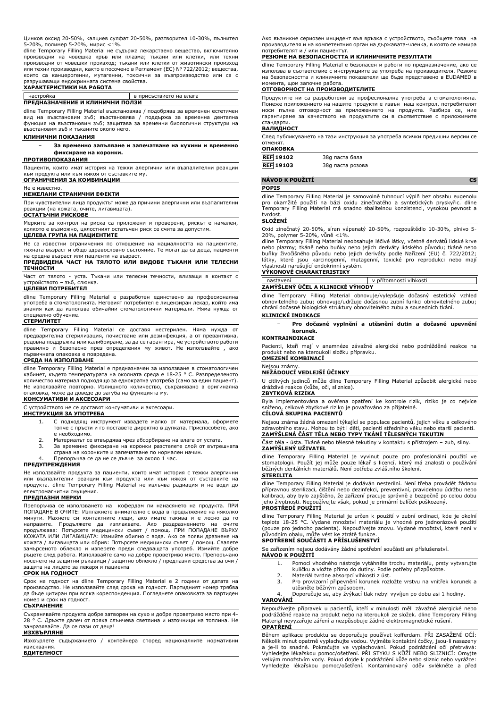Цинков оксид 20-50%, калциев сулфат 20-50%, разтворител 10-30%, пълнител

5-20%, полимер 5-20%, мирис <1%. dline Temporary Filling Material не съдържа лекарствено вещество, включително производни на човешка кръв или плазма; тъкани или клетки, или техни производни от човешки произход; тъкани или клетки от животински произход или техни производни, както е посочено в Регламент (ЕС) № 722/2012; вещества, които са канцерогенни, мутагенни, токсични за възпроизводство или са с разрушаващи ендокринната система свойства.

## **ХАРАКТЕРИСТИКИ НА РАБОТА**

| настройка                       | в присъствието на влага |  |
|---------------------------------|-------------------------|--|
| ПРЕДНАЗНАЧЕНИЕ И КЛИНИЧНИ ПОЛЗИ |                         |  |

dline Temporary Filling Material възстановява / подобрява за временен естетичен вид на възстановим зъб; възстановява / поддържа за временна дентална функция на възстановим зъб; защитава за временни биологични структури на възстановим зъб и тъканите около него.

## **КЛИНИЧНИ ПОКАЗАНИЯ**

− **За временно запълване и запечатване на кухини и временно фиксиране на коронки.**

#### **ПРОТИВОПОКАЗАНИЯ**

Пациенти, които имат история на тежки алергични или възпалителни реакции към продукта или към някоя от съставките му. **ОГРАНИЧЕНИЯ ЗА КОМБИНАЦИИ**

## Не е известно.

#### **НЕЖЕЛАНИ СТРАНИЧНИ ЕФЕКТИ**

При чувствителни лица продуктът може да причини алергични или възпалителни реакции (на кожата, очите, лигавицата). **ОСТАТЪЧНИ РИСКОВЕ**

Мерките за контрол на риска са приложени и проверени, рискът е намален, колкото е възможно, цялостният остатъчен риск се счита за допустим.

## **ЦЕЛЕВА ГРУПА НА ПАЦИЕНТИТЕ**

Не са известни ограничения по отношение на нациалността на пациентите, тяхната възраст и общо здравословно състояние. Те могат да са деца, пациенти на средна възраст или пациенти на възраст.

## **ПРЕДВИДЕНА ЧАСТ НА ТЯЛОТО ИЛИ ВИДОВЕ ТЪКАНИ ИЛИ ТЕЛЕСНИ ТЕЧНОСТИ**

Част от тялото - уста. Тъкани или телесни течности, влизащи в контакт с устройството – зъб, слюнка.

**ЦЕЛЕВИ ПОТРЕБИТЕЛ**

dline Temporary Filling Material е разработен единствено за професионална употреба в стоматологията. Неговият потребител е лицензиран лекар, който има знания как да използва обичайни стоматологични материали. Няма нужда от специално обучение.

#### **СТЕРИЛИТЕТ**

dline Temporary Filling Material се доставя нестерилен. Няма нужда от предварителна стерилизация, почистване или дезинфекция, а от превантивна, редовна поддръжка или калибриране, за да се гарантира, че устройството работи правилно и безопасно през определения му живот. Не използвайте , ако първичната опаковка е повредена.

### **СРЕДА НА ИЗПОЛЗВАНЕ**

dline Temporary Filling Material е предназначен за използване в стоматологичен кабинет, където температурата на околната среда е 18-25 ° C. Разпределеното количество материал подходящо за еднократна употреба (само за един пациент). Не използвайте повторно. Излишното количество, съхранявано в оригинална опаковка, може да доведе до загуба на функцията му. **КОНСУМАТИВИ И АКСЕСОАРИ**

С устройството не се доставят консумативи и аксесоари.

#### **ИНСТРУКЦИЯ ЗА УПОТРЕБА**

- 1. С подходящ инструмент извадете малко от материала, оформете топче с пръсти и го поставете директно в дупката. Приспособете, ако е необходимо.
- 2. Материалът се втвърдява чрез абсорбиране на влага от устата.<br>3. За временно фиксиране на коронки разстелете слой от вътре 3. За временно фиксиране на коронки разстелете слой от вътрешната
- страна на коронките и запечатване по нормален начин.
- 4. Препоръчва се да не се дъвче за около 1 час.

## **ПРЕДУПРЕЖДЕНИЯ**

Не използвайте продукта за пациенти, които имат история с тежки алергични или възпалителни реакции към продукта или към някоя от съставките на продукта. dline Temporary Filling Material не излъчва радиация и не води до електромагнитни смущения.

#### **ПРЕДПАЗНИ МЕРКИ**

Препоръчва се използването на кофердам пи нанасянето на продукта. ПРИ ПОПАДАНЕ В ОЧИТЕ: Изплакнете внимателно с вода в продължение на няколко минути. Махнете си контактните лещи, ако имате такива и е лесно да го<br>направите. Продължете да изплаквате. Ако раздразнението на очите<br>продължава: Потърсете медицински съвет / помощ. ПРИ ПОПАДАНЕ ВЪРХУ<br>КОЖАТА ИЛИ Л кожата / лигавицата или обрив: Потърсете медицински съвет / помощ. Свалете замърсеното облекло и изперете преди следващата употреб. Измийте добре ръцете след работа. Използвайте само на добре проветриво място. Препоръчано носенето на защитни ръкавици / защитно облекло / предпазни средства за очи / защита на лицето за лекаря и пациента

## **СРОК НА ГОДНОСТ**

Срок на годност на dline Temporary Filling Material е 2 години от датата на производство. Не използвайте след срока на годност. Партидният номер трябва да бъде цитиран при всяка кореспонденция. Погледнете опаковката за партиден номер и срок на годност. **СЪХРАНЕНИЕ**

Съхранявайте продукта добре затворен на сухо и добре проветриво място при 4- 28 ° C. Дръжте далеч от пряка слънчева светлина и източници на топлина. Не замразявайте. Да се пази от деца! **ИЗХВЪРЛЯНЕ**

Изхвърлете съдържанието / контейнера според националните нормативни изисквания. **БДИТЕЛНОСТ**

Ако възникне сериозен инцидент във връзка с устройството, съобщете това на производителя и на компетентния орган на държавата-членка, в която се намира потребителят и / или пациентът.

## **РЕЗЮМЕ НА БЕЗОПАСНОСТТА И КЛИНИЧНИТЕ РЕЗУЛТАТИ**

dline Temporary Filling Material е безопасен и работи по предназначение, ако се използва в съответствие с инструкциите за употреба на производителя. Резюме на безопасността и клиничните показатели ще бъде представено в EUDAMED в момента, щом започне работа.

## **ОТГОВОРНОСТ НА ПРОИЗВОДИТЕЛИТЕ**

Продуктите ни са разработени за професионална употреба в стоматологията. Понеже приложението на нашите продукти е извън наш контрол, потребителят носи пълна отговорност за приложението на продукта. Разбира се, ние гарантираме за качеството на продуктите си в съответствие с приложимите стандарти.

#### **ВАЛИДНОСТ**

След публикуването на тази инструкция за употреба всички предишни версии се отменят.

## **ОПАКОВКА**

| <b>REF 19102</b> | 38q паста бяла   |
|------------------|------------------|
| <b>REF</b> 19103 | 38g паста розова |

## **NÁVOD K POUŽITÍ CS**

## **POPIS**

dline Temporary Filling Material je samovolně tuhnoucí výplň bez obsahu eugenolu pro okamžité použití na bázi oxidu zinečnatého a syntetických pryskyřic. dline Temporary Filling Material má snadno sbalitelnou konzistenci, vysokou pevnost a tvrdos

## **SLOŽENÍ**

Oxid zinečnatý 20-50%, síran vápenatý 20-50%, rozpouštědlo 10-30%, plnivo 5- 20%, polymer 5-20%, vůně <1%.

dline Temporary Filling Material neobsahuje léčivé látky, včetně derivátů lidské krve nebo plazmy; tkáně nebo buňky nebo jejich deriváty lidského původu; tkáně nebo<br>buňky živočišného původu nebo jejich deriváty podle Nařízení (EU) č. 722/2012;<br>látky, které jsou karcinogenní, mutagenní, toxické pro re vlastnosti narušující endokrinní systém.

# **VÝKONOVÉ CHARAKTERISTIKY**

nastavení v přítomnosti vlhkosti **ZAMÝŠLENÝ ÚČEL A KLINICKÉ VÝHODY**

dline Temporary Filling Material obnovuje/vylepšuje dočasný estetický vzhled obnovitelného zubu; obnovuje/udržuje dočasnou zubní funkci obnovitelného zubu; chrání dočasné biologické struktury obnovitelného zubu a sousedních tkání.

## **KLINICKÉ INDIKACE**

− **Pro dočasné vyplnění a utěsnění dutin a dočasné upevnění korunek.**

## **KONTRAINDIKACE**

Pacienti, kteří mají v anamnéze závažné alergické nebo podrážděné reakce na produkt nebo na kteroukoli složku přípravku. **OMEZENÍ KOMBINACÍ**

## Nejsou známy.

**NEŽÁDOUCÍ VEDLEJŠÍ ÚČINKY**

U citlivých jedinců může dline Temporary Filling Material způsobit alergické nebo dráždivé reakce (kůže, oči, sliznice).

## **ZBYTKOVÁ RIZIKA**

Byla implementována a ověřena opatření ke kontrole rizik, riziko je co nejvíce sníženo, celkové zbytkové riziko je považováno za přijatelné. **CÍLOVÁ SKUPINA PACIENTŮ**

Nejsou známa žádná omezení týkající se populace pacientů, jejich věku a celkového zdravotního stavu. Mohou to být i děti, pacienti středního věku nebo starší pacienti. **ZAMÝŠLENÁ ČÁST TĚLA NEBO TYPY TKÁNÍ TĚLESNÝCH TEKUTIN**

Část těla - ústa. Tkáně nebo tělesné tekutiny v kontaktu s přístrojem – zub, sliny. **ZAMÝŠLENÝ UŽIVATEL**

dline Temporary Filling Material je vyvinut pouze pro profesionální použití ve stomatologii. Použít jej může pouze lékař s licencí, který má znalosti o používání běžných dentálních materiálů. Není potřeba zvláštního školení.

## **STERILITA**

dline Temporary Filling Material je dodáván nesterilní. Není třeba provádět žádnou přípravnou sterilizaci, čištění nebo dezinfekci, preventivní, pravidelnou údržbu nebo kalibraci, aby bylo zajištěno, že zařízení pracuje správně a bezpečně po celou dobu jeho životnosti. Nepoužívejte však, pokud je primární balíček poškozený.

## **PROSTŘEDÍ POUŽITÍ**

dline Temporary Filling Material je určen k použití v zubní ordinaci, kde je okolní<br>teplota 18-25 °C. Vydané množství materiálu je vhodné pro jednorázové použití<br>(pouze pro jednoho pacienta). Nepoužívejte znovu. Vydané mno

## **SPOTŘEBNÍ SOUČÁSTI A PŘÍSLUŠENSTVÍ**

Se zařízením nejsou dodávány žádné spotřební součásti ani příslušenství.

- **NÁVOD K POUŽITÍ** 1. Pomocí vhodného nástroje vytáhněte trochu materiálu, prsty vytvarujte kuličku a vložte přímo do dutiny. Podle potřeby přizpůsobte.
	- 2. Materiál tvrdne absorpcí vlhkosti z úst.<br>3. Pro provizorní připevnění korunek rozl
	- 3. Pro provizorní připevnění korunek rozložte vrstvu na vnitřek korunek a utěsněte běžným způsobem.
	- 4. Doporučuje se, aby žvýkací tlak nebyl vyvíjen po dobu asi 1 hodiny.

**VAROVÁNÍ**

Nepoužívejte přípravek u pacientů, kteří v minulosti měli závažné alergické nebo podrážděné reakce na produkt nebo na kteroukoli ze složek. dline Temporary Filling Material nevyzařuje záření a nezpůsobuje žádné elektromagnetické rušení. **OPATŘENÍ**

Během aplikace produktu se doporučuje používat kofferdam. PŘI ZASAŽENÍ OČÍ: Několik minut opatrně vyplachujte vodou. Vyjměte kontaktní čočky, jsou-li nasazeny a je-li to snadné. Pokračujte ve vyplachování. Pokud podráždění očí přetrvává: Vyhledejte lékařskou pomoc/ošetření. PŘI STYKU S KŮŽÍ NEBO SLIZNICÍ: Omyjte velkým množstvím vody. Pokud dojde k podráždění kůže nebo sliznic nebo vyrážce: Vyhledejte lékařskou pomoc/ošetření. Kontaminovaný oděv svlékněte a před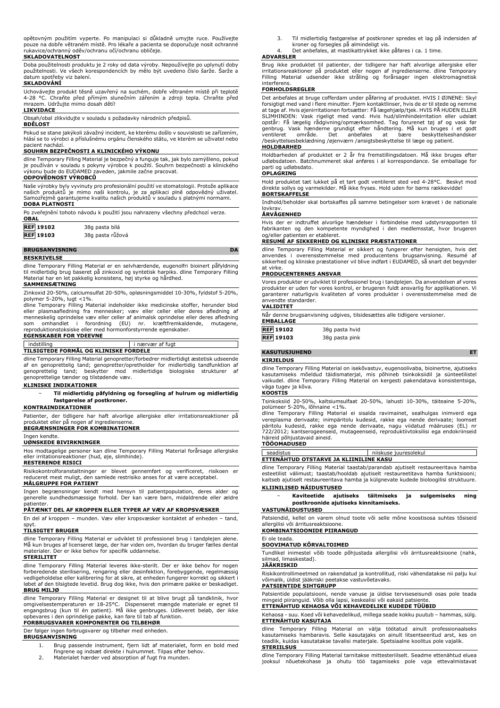opětovným použitím vyperte. Po manipulaci si důkladně umyjte ruce. Používejte pouze na dobře větraném místě. Pro lékaře a pacienta se doporučuje nosit ochranné rukavice/ochranný oděv/ochranu očí/ochranu obličeje.

## **SKLADOVATELNOST**

Doba použitelnosti produktu je 2 roky od data výroby. Nepoužívejte po uplynutí doby použitelnosti. Ve všech korespondencích by mělo být uvedeno číslo šarže. Šarže a datum spotřeby viz balení.

## **SKLADOVÁNÍ**

Uchovávejte produkt těsně uzavřený na suchém, dobře větraném místě při teplotě 4-28 °C. Chraňte před přímým slunečním zářením a zdroji tepla. Chraňte před mrazem. Udržujte mimo dosah dětí!

## **LIKVIDACE**

Obsah/obal zlikvidujte v souladu s požadavky národních předpisů.

#### **BDĚLOST**

Pokud se stane jakýkoli závažný incident, ke kterému došlo v souvislosti se zařízením, hlásí se to výrobci a příslušnému orgánu členského státu, ve kterém se uživatel nebo pacient nachází.

## **SOUHRN BEZPEČNOSTI A KLINICKÉHO VÝKONU**

dline Temporary Filling Material je bezpečný a funguje tak, jak bylo zamýšleno, pokud je používán v souladu s pokyny výrobce k použití. Souhrn bezpečnosti a klinického výkonu bude do EUDAMED zaveden, jakmile začne pracovat.

## **ODPOVĚDNOST VÝROBCŮ**

Naše výrobky byly vyvinuty pro profesionální použití ve stomatologii. Protože aplikace našich produktů je mimo naši kontrolu, je za aplikaci plně odpovědný uživatel. Samozřejmě garantujeme kvalitu našich produktů v souladu s platnými normami. **DOBA PLATNOSTI**

| Po zveřejnění tohoto návodu k použití jsou nahrazeny všechny předchozí verze.<br><b>OBAL</b> |                  |  |
|----------------------------------------------------------------------------------------------|------------------|--|
| <b>REF 19102</b>                                                                             | 38g pasta bílá   |  |
| <b>REF 19103</b>                                                                             | 38g pasta růžová |  |

## **BRUGSANVISNING DA**

**BESKRIVELSE**

dline Temporary Filling Material er en selvhærdende, eugenolfri bioinert påfyldning til midlertidig brug baseret på zinkoxid og syntetisk harpiks. dline Temporary Filling Material har en let pakkelig konsistens, høj styrke og hårdhed.

### **SAMMENSÆTNING**

Zinkoxid 20-50%, calciumsulfat 20-50%, opløsningsmiddel 10-30%, fyldstof 5-20%, polymer 5-20%, lugt <1%.

dline Temporary Filling Material indeholder ikke medicinske stoffer, herunder blod eller plasmaafledning fra mennesker; væv eller celler eller deres afledning af<br>menneskelig-oprindelse væv-eller-celler-af-animalsk-oprindelse-eller-deres-afledning<br>som -omhandlet -i - forordning - (EU) - nr. - kræftfremkal reproduktionstoksiske eller med hormonforstyrrende egenskaber.

## **EGENSKABER FOR YDEEVNE**

| indstilling                           |                  |  |
|---------------------------------------|------------------|--|
|                                       | i nærvær af fugt |  |
|                                       |                  |  |
| TILSIGTEDE FORMÅL OG KLINISKE FORDELE |                  |  |
|                                       |                  |  |

dline Temporary Filling Material genopretter/forbedrer midlertidigt æstetisk udseende af en genoprettelig tand; genopretter/opretholder for midlertidig tandfunktion af genoprettelig tand; beskytter mod midlertidige biologiske strukturer af genoprettelige tænder og tilstødende væv.

## **KLINISKE INDIKATIONER**

− **Til midlertidig påfyldning og forsegling af hulrum og midlertidig fastgørelse af postkroner.**

## **KONTRAINDIKATIONER**

Patienter, der tidligere har haft alvorlige allergiske eller irritationsreaktioner på produktet eller på nogen af ingredienserne. **BEGRÆNSNINGER FOR KOMBINATIONER**

## Ingen kendte.

**UØNSKEDE BIVIRKNINGER**

Hos modtagelige personer kan dline Temporary Filling Material forårsage allergiske eller irritationsreaktioner (hud, øje, slimhinde).

## **RESTERENDE RISICI**

Risikokontrolforanstaltninger er blevet gennemført og verificeret, risikoen er reduceret mest muligt, den samlede restrisiko anses for at være acceptabel.

## **MÅLGRUPPE FOR PATIENT**

Ingen begrænsninger kendt med hensyn til patientpopulation, deres alder og generelle sundhedsmæssige forhold. Der kan være børn, midaldrende eller ældre patienter.

## **PÅTÆNKT DEL AF KROPPEN ELLER TYPER AF VÆV AF KROPSVÆSKER**

En del af kroppen – munden. Væv eller kropsvæsker kontaktet af enheden – tand, spyt.

## **TILSIGTET BRUGER**

dline Temporary Filling Material er udviklet til professionel brug i tandplejen alene. Må kun bruges af licenseret læge, der har viden om, hvordan du bruger fælles dental materialer. Der er ikke behov for specifik uddannelse.

## **STERILITET**

dline Temporary Filling Material leveres ikke-sterilt. Der er ikke behov for nogen forberedende sterilisering, rengøring eller desinfektion, forebyggende, regelmæssig vedligeholdelse eller kalibrering for at sikre, at enheden fungerer korrekt og sikkert i løbet af den tilsigtede levetid. Brug dog ikke, hvis den primære pakke er beskadiget. **BRUG MILJØ**

dline Temporary Filling Material er designet til at blive brugt på tandklinik, hvor<br>omgivelsestemperaturen er 18-25°C. Dispenseret mængde materiale er egnet til<br>engangsbrug (kun til én patient). Må ikke genbruges. Udlevere **FORBRUGSVARER KOMPONENTER OG TILBEHØR**

## Der følger ingen forbrugsvarer og tilbehør med enheden.

**BRUGSANVISNING**

- 1. Brug passende instrument, fjern lidt af materialet, form en bold med fingrene og indsæt direkte i hulrummet. Tilpas efter behov.
- 
- 2. Materialet hærder ved absorption af fugt fra munden.
- 3. Til midlertidig fastgørelse af postkroner spredes et lag på indersiden af kroner og forsegles på almindeligt vis.
- 4. Det anbefales, at mastikattrykket ikke påføres i ca. 1 time.

## **ADVARSLER**

Brug ikke produktet til patienter, der tidligere har haft alvorlige allergiske eller irritationsreaktioner på produktet eller nogen af ingredienserne. dline Temporary Filling Material udsender ikke stråling og forårsager ingen elektromagnetisk interferens.

## **FORHOLDSREGLER**

Det anbefales at bruge cofferdam under påføring af produktet. HVIS I ØJNENE: Skyl forsigtigt med vand i flere minutter. Fjern kontaktlinser, hvis de er til stede og nemme at tage af. Hvis øjenirritationen fortsætter: Få lægehjælp/tjek. HVIS PÅ HUDEN ELLER SLIMHINDEN: Vask rigeligt med vand. Hvis hud/slimhindeirritation eller udslæt opstår: Få lægelig rådgivning/opmærksomhed. Tag forurenet tøj af og vask før genbrug. Vask hænderne grundigt efter håndtering. Må kun bruges i et godt ventileret område. Det anbefales at bære beskyttelseshandsker /beskyttelsesbeklædning /øjenværn /ansigtsbeskyttelse til læge og patient. **HOLDBARHED**

Holdbarheden af produktet er 2 år fra fremstillingsdatoen. Må ikke bruges efter udløbsdatoen. Batchnummeret skal anføres i al korrespondance. Se emballage for

# parti og udløbsdato. **OPLAGRING**

Hold produktet tæt lukket på et tørt godt ventileret sted ved 4-28°C. Beskyt mod direkte sollys og varmekilder. Må ikke fryses. Hold uden for børns rækkevidde!

## **BORTSKAFFELSE**

Indhold/beholder skal bortskaffes på samme betingelser som krævet i de nationale lovkrav

### **ÅRVÅGENHED**

Hvis der er indtruffet alvorlige hændelser i forbindelse med udstyrsrapporten til fabrikanten og den kompetente myndighed i den medlemsstat, hvor brugeren og/eller patienten er etableret.

## **RESUMÉ AF SIKKERHED OG KLINISKE PRÆSTATIONER**

dline Temporary Filling Material er sikkert og fungerer efter hensigten, hvis det anvendes i overensstemmelse med producentens brugsanvisning. Resumé sikkerhed og kliniske præstationer vil blive indført i EUDAMED, så snart det begynder at virke.

#### **PRODUCENTERNES ANSVAR**

Vores produkter er udviklet til professionel brug i tandplejen. Da anvendelsen af vores produkter er uden for vores kontrol, er brugeren fuldt ansvarlig for applikationen. Vi garanterer naturligvis kvaliteten af vores produkter i overensstemmelse med de anvendte standarder.

## **VALIDITET**

| Når denne brugsanvisning udgives, tilsidesættes alle tidligere versioner.<br>EMBALLAGE |                |  |
|----------------------------------------------------------------------------------------|----------------|--|
|                                                                                        |                |  |
| <b>REF 19102</b>                                                                       | 38g pasta hvid |  |
| <b>REF</b> 19103                                                                       | 38g pasta pink |  |

## **KASUTUSJUHEND**

**KIRJELDUS**

dline Temporary Filling Material on isekõvastuv, eugenoolivaba, bioinertne, ajutiseks kasutamiseks mõeldud täidismaterjal, mis põhineb tsinkoksiidil ja sünteetilistel vaikudel. dline Temporary Filling Material on kergesti pakendatava konsistentsiga, väga tugev ja kõva.

#### **KOOSTIS**

Tsinkoksiid 20-50%, kaltsiumsulfaat 20-50%, lahusti 10-30%, täiteaine 5-20%, polümeer 5-20%, lõhnaine <1%. dline Temporary Filling Material ei sisalda ravimainet, sealhulgas inimverd ega

vereplasma derivaate; inimpäritolu kudesid, rakke ega nende derivaate; loomset<br>päritolu kudesid, rakke ega nende derivaate, nagu viidatud määruses (EL) nr<br>722/2012; kantserogeenseid, mutageenseid, reproduktiivtoksilisi ega häireid põhjustavaid aineid.

# **TÖÖOMADUSED**

seadistus | niiskuse juuresolekul **ETTENÄHTUD OTSTARVE JA KLIINILINE KASU**

dline Temporary Filling Material taastab/parandab ajutiselt restaureeritava hamba esteetilist välimust; taastab/hooldab ajutiselt restaureetitava hamba funktsiooni; kaitseb ajutiselt restaureeritava hamba ja külgnevate kudede bioloogilisi struktuure. **KLIINILISED NÄIDUSTUSED**

− **Kaviteetide ajutiseks täitmiseks ja sulgemiseks ning postkroonide ajutiseks kinnitamiseks.**

# **VASTUNÄIDUSTUSED**

Patsiendid, kellel on varem olnud toote või selle mõne koostisosa suhtes tõsiseid allergilisi või ärritusreaktsioone. **KOMBINATSIOONIDE PIIRANGUD**

#### Ei ole teada. **SOOVIMATUD KÕRVALTOIMED**

Tundlikel inimestel võib toode põhjustada allergilisi või ärritusreaktsioone (nahk, silmad, limaskestad).

# **JÄÄKRISKID**

Riskikontrollimeetmed on rakendatud ja kontrollitud, riski vähendatakse nii palju kui võimalik, üldist jääkriski peetakse vastuvõetavaks. **PATSIENTIDE SIHTGRUPP**

Patsientide populatsiooni, nende vanuse ja üldise terviseseisundi osas pole teada mingeid piiranguid. Võib olla lapsi, keskealisi või eakaid patsiente.

## **ETTENÄHTUD KEHAOSA VÕI KEHAVEDELIKE KUDEDE TÜÜBID**

Kehaosa - suu. Koed või kehavedelikud, millega seade kokku puutub – hammas, sülg. **ETTENÄHTUD KASUTAJA**

dline Temporary Filling Material on välja töötatud ainult professionaalseks kasutamiseks hambaravis. Selle kasutajaks on ainult litsentseeritud arst, kes on teadlik, kuidas kasutatakse tavalisi materjale. Spetsiaalne koolitus pole vajalik. **STERIILSUS**

dline Temporary Filling Material tarnitakse mittesteriilselt. Seadme ettenähtud eluea jooksul nõuetekohase ja ohutu töö tagamiseks pole vaja ettevalmistavat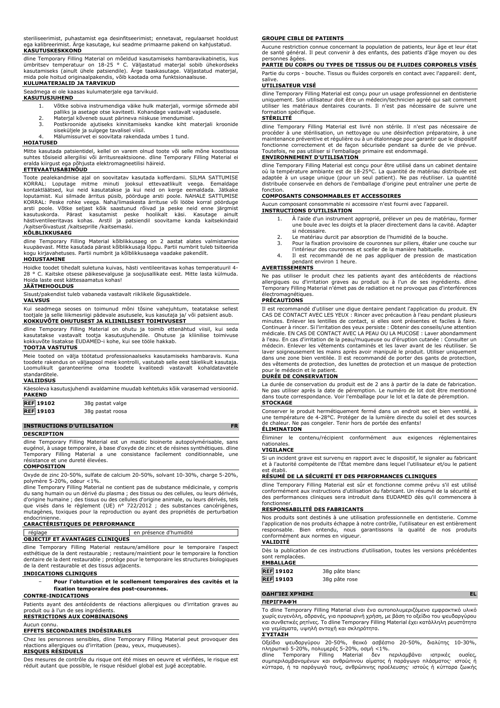steriliseerimist, puhastamist ega desinfitseerimist; ennetavat, regulaarset hooldust ega kalibreerimist. Ärge kasutage, kui seadme primaarne pakend on kahjustatud. **KASUTUSKESKKOND**

dline Temporary Filling Material on mõeldud kasutamiseks hambaravikabinetis, kus<br>ümbritsev temperatuur on 18-25 ° C. Väljastatud materjal sobib ühekordseks<br>kasutamiseks (ainult ühele patsiendile). Ärge taaskasutage. Vä mida pole hoitud originaalpakendis, võib kaotada oma funktsionaalsuse.

### **KULUMATERJALID JA TARVIKUD**

Seadmega ei ole kaasas kulumaterjale ega tarvikuid. **KASUTUSJUHEND**

- 1. Võtke sobiva instrumendiga väike hulk materjali, vormige sõrmede abil
	- palliks ja asetage otse kaviteeti. Kohandage vastavalt vajadusele.<br>2. Materjal kõveneb suust pärineva niiskuse imendumisel.<br>3. Postkroonide ajutiseks kinnitamiseks kandke kiht materjali kroonide
	- siseküljele ja sulgege tavalisel viisil.

4. Mälumissurvet ei soovitata rakendada umbes 1 tund.

## **HOIATUSED**

Mitte kasutada patsientidel, kellel on varem olnud toote või selle mõne koostisosa suhtes tõsiseid allergilisi või ärritusreaktsioone. dline Temporary Filling Material ei eralda kiirgust ega põhjusta elektromagneetilisi häireid.

## **ETTEVAATUSABINÕUD**

Toote pealekandmise ajal on soovitatav kasutada kofferdami. SILMA SATTUMISE KORRAL: Loputage mitme minuti jooksul ettevaatlikult veega. Eemaldage kontaktläätsed, kui neid kasutatakse ja kui neid on kerge eemaldada. Jätkake loputamist. Kui silmade ärritus püsib, pöörduge arsti poole. NAHALE SATTUMISE KORRAL: Peske rohke veega. Naha/limaskesta ärrituse või lööbe korral pöörduge<br>arsti poole. Võtke seljast kõik saastunud rõivad ja peske neid enne järgmist<br>kasutuskorda. Pärast kasutamist peske hoolikalt käsi. Kasutage ainu

#### **KÕLBLIKKUSAEG**

dline Temporary Filling Material kõlblikkusaeg on 2 aastat alates valmistamise kuupäevast. Mitte kasutada pärast kõlblikkusaja lõppu. Partii numbrit tuleb tsiteerida kogu kirjavahetuses. Partii numbrit ja kõlblikkusaega vaadake pakendilt.

#### **HOIUSTAMINE**

Hoidke toodet tihedalt suletuna kuivas, hästi ventileeritavas kohas temperatuuril 4- 28 ° C. Kaitske otsese päikesevalguse ja soojusallikate eest. Mitte lasta külmuda. Hoida laste eest kättesaamatus kohas!

#### **JÄÄTMEHOOLDUS**

Sisust/pakendist tuleb vabaneda vastavalt riiklikele õigusaktidele.

### **VALVSUS**

Kui seadmega seoses on toimunud mõni tõsine vahejuhtum, teatatakse sellest tootjale ja selle liikmesriigi pädevale asutusele, kus kasutaja ja/ või patsient asub. **KOKKUVÕTE OHUTUSEST JA KLIINILISEST TOIMIVUSEST**

dline Temporary Filling Material on ohutu ja toimib ettenähtud viisil, kui seda kasutatakse vastavalt tootja kasutusjuhendile. Ohutuse ja kliinilise toimivuse kokkuvõte lisatakse EUDAMED-i kohe, kui see tööle hakkab.

#### **TOOTJA VASTUTUS**

Meie tooted on välja töötatud professionaalseks kasutamiseks hambaravis. Kuna toodete rakendus on väljaspool meie kontrolli, vastutab selle eest täielikult kasutaja. Loomulikult garanteerime oma toodete kvaliteedi vastavalt kohaldatavatele standarditele.

## **VALIIDSUS**

| <b>PAKEND</b>                                                                                                                                                                                                                                            | Käesoleva kasutusjuhendi avaldamine muudab kehtetuks kõik varasemad versioonid. |
|----------------------------------------------------------------------------------------------------------------------------------------------------------------------------------------------------------------------------------------------------------|---------------------------------------------------------------------------------|
| <b>REF</b> 19102<br><u>recognization of the state of the state of the state of the state of the state of the state of the state of the state of the state of the state of the state of the state of the state of the state of the state of the state</u> | 38g pastat valge                                                                |

**REF 19103** 38g pastat roosa

## **INSTRUCTIONS D'UTILISATION FR**

**DESCRIPTION**

dline Temporary Filling Material est un mastic bioinerte autopolymérisable, sans eugénol, à usage temporaire, à base d'oxyde de zinc et de résines synthétiques. dline Temporary Filling Material a une consistance facilement conditionnable, une résistance et une dureté élevées.

### **COMPOSITION**

Oxyde de zinc 20-50%, sulfate de calcium 20-50%, solvant 10-30%, charge 5-20%, polymère 5-20%, odeur <1%.

dline Temporary Filling Material ne contient pas de substance médicinale, y compris du sang humain ou un dérivé du plasma ; des tissus ou des cellules, ou leurs dérivés, d'origine humaine ; des tissus ou des cellules d'origine animale, ou leurs dérivés, tels<br>que visés dans le règlement (UE) n° 722/2012 ; des substances cancérigènes,<br>mutagènes, toxiques pour la reproduction ou ay endocrinienne.

### **CARACTÉRISTIQUES DE PERFORMANCE**

|                                        | en présence d'humidité |
|----------------------------------------|------------------------|
| <b>OBJECTIF ET AVANTAGES CLINIOUES</b> |                        |

dline Temporary Filling Material restaure/améliore pour le temporaire l'aspect esthétique de la dent restaurable ; restaure/maintient pour le temporaire la fonction dentaire de la dent restaurable ; protège pour le temporaire les structures biologiques de la dent restaurable et des tissus adjacents.

## **INDICATIONS CLINIQUES**

− **Pour l'obturation et le scellement temporaires des cavités et la fixation temporaire des post-couronnes.**

## **CONTRE-INDICATIONS**

Patients ayant des antécédents de réactions allergiques ou d'irritation graves au produit ou à l'un de ses ingrédients.

## **RESTRICTIONS AUX COMBINAISONS**

Aucun connu.

### **EFFETS SECONDAIRES INDÉSIRABLES**

Chez les personnes sensibles, dline Temporary Filling Material peut provoquer des réactions allergiques ou d'irritation (peau, yeux, muqueuses). **RISQUES RÉSIDUELS**

Des mesures de contrôle du risque ont été mises en oeuvre et vérifiées, le risque est réduit autant que possible, le risque résiduel global est jugé acceptable.

#### **GROUPE CIBLE DE PATIENTS**

Aucune restriction connue concernant la population de patients, leur âge et leur état de santé général. Il peut convenir à des enfants, des patients d'âge moyen ou des

# personnes âgées. **PARTIE DU CORPS OU TYPES DE TISSUS OU DE FLUIDES CORPORELS VISÉS**

Partie du corps - bouche. Tissus ou fluides corporels en contact avec l'appareil: dent, salive.

### **UTILISATEUR VISÉ**

dline Temporary Filling Material est conçu pour un usage professionnel en dentisterie uniquement. Son utilisateur doit être un médecin/technicien agréé qui sait comment utiliser les matériaux dentaires courants. Il n'est pas nécessaire de suivre une formation spécifique.

## **STÉRILITÉ**

dline Temporary Filling Material est livré non stérile. Il n'est pas nécessaire de procéder à une stérilisation, un nettoyage ou une désinfection préparatoire, à une maintenance préventive et régulière ou à un étalonnage pour garantir que le dispositif fonctionne correctement et de façon sécurisée pendant sa durée de vie prévue. Toutefois, ne pas utiliser si l'emballage primaire est endommagé.

#### **ENVIRONNEMENT D'UTILISATION**

dline Temporary Filling Material est conçu pour être utilisé dans un cabinet dentaire où la température ambiante est de 18-25°C. La quantité de matériau distribuée est adaptée à un usage unique (pour un seul patient). Ne pas réutiliser. La quantité distribuée conservée en dehors de l'emballage d'origine peut entraîner une perte de fonction.

#### **COMPOSANTS CONSOMMABLES ET ACCESSOIRES**

Aucun composant consommable ni accessoire n'est fourni avec l'appareil. **INSTRUCTIONS D'UTILISATION**

- 1. À l'aide d'un instrument approprié, prélever un peu de matériau, former une boule avec les doigts et la placer directement dans la cavité. Adapter si nécessaire.
- 
- 2. Le matériau durcit par absorption de l'humidité de la bouche.<br>3. Pour la fixation provisoire de couronnes sur piliers, étaler une Pour la fixation provisoire de couronnes sur piliers, étaler une couche sur
- l'intérieur des couronnes et sceller de la manière habituelle. 4. Il est recommandé de ne pas appliquer de pression de mastication
- pendant environ 1 heure.

#### **AVERTISSEMENTS**

Ne pas utiliser le produit chez les patients ayant des antécédents de réactions allergiques ou d'irritation graves au produit ou à l'un de ses ingrédients. dline Temporary Filling Material n'émet pas de radiation et ne provoque pas d'interférences électromagnétiques.

#### **PRÉCAUTIONS**

Il est recommandé d'utiliser une digue dentaire pendant l'application du produit. EN CAS DE CONTACT AVEC LES YEUX : Rincer avec précaution à l'eau pendant plusieurs minutes. Enlever les lentilles de contact, si elles sont présentes et faciles à faire. Continuer à rincer. Si l'irritation des yeux persiste : Obtenir des conseils/une attention médicale. EN CAS DE CONTACT AVEC LA PEAU OU LA MUCOSE : Laver abondamment à l'eau. En cas d'irritation de la peau/muqueuse ou d'éruption cutanée : Consulter un médecin. Enlever les vêtements contaminés et les laver avant de les réutiliser. Se laver soigneusement les mains après avoir manipulé le produit. Utiliser uniquement dans une zone bien ventilée. Il est recommandé de porter des gants de protection, des vêtements de protection, des lunettes de protection et un masque de protection pour le médecin et le patient.

#### **DURÉE DE CONSERVATION**

La durée de conservation du produit est de 2 ans à partir de la date de fabrication. Ne pas utiliser après la date de péremption. Le numéro de lot doit être mentionné dans toute correspondance. Voir l'emballage pour le lot et la date de péremption. **STOCKAGE**

Conserver le produit hermétiquement fermé dans un endroit sec et bien ventilé, à une température de 4-28°C. Protéger de la lumière directe du soleil et des sources de chaleur. Ne pas congeler. Tenir hors de portée des enfants! **ÉLIMINATION**

Éliminer le contenu/récipient conformément aux exigences réglementaires nationales.

## **VIGILANCE**

Si un incident grave est survenu en rapport avec le dispositif, le signaler au fabricant et à l'autorité compétente de l'État membre dans lequel l'utilisateur et/ou le patient est établi.

## **RÉSUMÉ DE LA SÉCURITÉ ET DES PERFORMANCES CLINIQUES**

dline Temporary Filling Material est sûr et fonctionne comme prévu s'il est utilisé conformément aux instructions d'utilisation du fabricant. Un résumé de la sécurité et des performances cliniques sera introduit dans EUDAMED dès qu'il commencera à fonctionner.

## **RESPONSABILITÉ DES FABRICANTS**

Nos produits sont destinés à une utilisation professionnelle en dentisterie. Comme l'application de nos produits échappe à notre contrôle, l'utilisateur en est entièrement responsable. Bien entendu, nous garantissons la qualité de nos produits conformément aux normes en vigueur. **VALIDITÉ**

Dès la publication de ces instructions d'utilisation, toutes les versions précédentes sont remplacées. **EMBALLAGE**

| EMDALLAGE        |                |
|------------------|----------------|
| REF 19102        | 38g pâte blanc |
| <b>REF</b> 19103 | 38g pâte rose  |

**ΟΔΗΓΊΕΣ ΧΡΉΣΗΣ EL**

#### **ΠΕΡΙΓΡΑΦΉ**

Το dline Temporary Filling Material είναι ένα αυτοπολυμεριζόμενο εμφρακτικό υλικό χωρίς ευγενόλη, αδρανές, για προσωρινή χρήση, με βάση το οξείδιο του ψευδαργύρου και συνθετικές ρητίνες. Το dline Temporary Filling Material έχει κατάλληλη ρευστότητα για γεμίσματα, υψηλή αντοχή και σκληρότητα. **ΣΎΣΤΑΣΗ**

Οξείδιο ψευδαργύρου 20-50%, θειικό ασβέστιο 20-50%, διαλύτης 10-30%,<br>πληρωτικό-5-20%,πολυμερές-5-20%,οσμή<1%.<br>dline Temporary Filling Material δεν περιλαμβάνει ιατρικές ουσίες,<br>συμπεριλαμβανομένων-και ανθρώπινου αίματος-ή κύτταρα, ή τα παράγωγά τους, ανθρώπινης προέλευσης· ιστούς ή κύτταρα ζωικής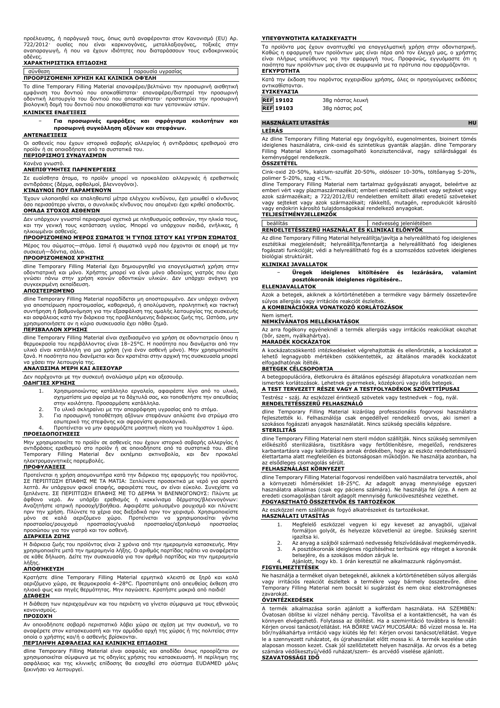προέλευσης, ή παράγωγά τους, όπως αυτά αναφέρονται στον Κανονισμό (EU) Αρ. 722/2012· ουσίες που είναι καρκινογόνες, μεταλλαξιογόνες, τοξικές στην αναπαραγωγή, ή που να έχουν ιδιότητες που διαταράσσουν τους ενδοκρινικούς αδένες.

## **ΧΑΡΑΚΤΗΡΙΣΤΙΚΆ ΕΠΊΔΟΣΗΣ**

σύνθεση παρουσία υγρασίας **ΠΡΟΟΡΙΖΌΜΕΝΗ ΧΡΉΣΗ ΚΑΙ ΚΛΙΝΙΚΆ ΟΦΈΛΗ**

Το dline Temporary Filling Material επαναφέρει/βελτιώνει την προσωρινή αισθητική εμφάνιση του δοντιού που αποκαθίσταται· επαναφέρει/διατηρεί την προσωρινή οδοντική λειτουργία του δοντιού που αποκαθίσταται· προστατεύει την προσωρινή βιολογική δομή του δοντιού που αποκαθίσταται και των γειτονικών ιστών.

#### **ΚΛΙΝΙΚΈΣ ΕΝΔΕΊΞΕΙΣ**

### − **Για προσωρινές εμφράξεις και σφράγισμα κοιλοτήτων και προσωρινή συγκόλληση αξόνων και στεφάνων.**

## **ΑΝΤΕΝΔΕΊΞΕΙΣ**

Οι ασθενείς που έχουν ιστορικό σοβαρής αλλεργίας ή αντιδράσεις ερεθισμού στο προϊόν ή σε οποιοδήποτε από τα συστατικά του. **ΠΕΡΙΟΡΙΣΜΟΊ ΣΥΝΔΥΑΣΜΏΝ**

#### Κανένα γνωστό.

## **ΑΝΕΠΙΘΎΜΗΤΕΣ ΠΑΡΕΝΈΡΓΕΙΕΣ**

Σε ευαίσθητα άτομα, το προϊόν μπορεί να προκαλέσει αλλεργικές ή ερεθιστικές αντιδράσεις (δέρμα, οφθαλμοί, βλεννογόνοι).

#### **ΚΊΝΔΥΝΟΙ ΠΟΥ ΠΑΡΑΜΈΝΟΥΝ**

Έχουν υλοποιηθεί και επαληθευτεί μέτρα ελέγχου κινδύνου, έχει μειωθεί ο κίνδυνος όσο περισσότερο γίνεται, ο συνολικός κίνδυνος που απομένει έχει κριθεί αποδεκτός. **ΟΜΆΔΑ ΣΤΌΧΟΣ ΑΣΘΕΝΏΝ**

Δεν υπάρχουν γνωστοί περιορισμοί σχετικά με πληθυσμούς ασθενών, την ηλικία τους,

και την γενική τους κατάσταση υγείας. Μπορεί να υπάρχουν παιδιά, ενήλικες, ή ηλικιωμένοι ασθενείς.

## **ΠΡΟΟΡΙΖΌΜΕΝΟ ΜΈΡΟΣ ΣΏΜΑΤΟΣ Ή ΤΎΠΟΣ ΙΣΤΟΎ ΚΑΙ ΥΓΡΏΝ ΣΏΜΑΤΟΣ**

Μέρος του σώματος—στόμα. Ιστοί ή σωματικά υγρά που έρχονται σε επαφή με την συσκευή—δόντια, σάλιο. **ΠΡΟΟΡΙΖΌΜΕΝΟΣ ΧΡΉΣΤΗΣ**

dline Temporary Filling Material έχει δημιουργηθεί για επαγγελματική χρήση στην οδοντιατρική και μόνο. Χρήστης μπορεί να είναι μόνο αδειούχος γιατρός που έχει γνώσει πάνω στην χρήση κοινών οδοντικών υλικών. Δεν υπάρχει ανάγκη για συγκεκριμένη εκπαίδευση.

#### **ΑΠΟΣΤΕΙΡΩΜΈΝΟ**

dline Temporary Filling Material παραδίδεται μη αποστειρωμένο. Δεν υπάρχει ανάγκη για αποστείρωση προετοιμασίας, καθαρισμό, ή απολύμανση, προληπτική και τακτική συντήρηση ή βαθμονόμηση για την εξασφάλιση της ομαλής λειτουργίας της συσκευής και ασφάλειας κατά την διάρκεια της προβλεπόμενης διάρκειας ζωής της. Ωστόσο, μην χρησιμοποιήσετε αν η κύρια συσκευασία έχει πάθει ζημιά.

#### **ΠΕΡΙΒΆΛΛΟΝ ΧΡΉΣΗΣ**

dline Temporary Filling Material είναι σχεδιασμένο για χρήση σε οδοντιατρείο όπου η θερμοκρασία του περιβάλλοντος είναι 18–25°C. Η ποσότητα που διανέμεται από την<br>υλικό είναι κατάλληλη για μια χρήση (για έναν ασθενή μόνο). Μην χρησιμοποιείτε<br>ξανά. Η ποσότητα που διανέμεται και δεν κρατιέται στην αρχική τ να χάσει την λειτουργία της.

## **ΑΝΑΛΏΣΙΜΑ ΜΈΡΗ ΚΑΙ ΑΞΕΣΟΥΆΡ**

Δεν παρέχονται με την συσκευή αναλώσιμα μέρη και αξεσουάρ.

- **ΟΔΗΓΊΕΣ ΧΡΉΣΗΣ**
	- 1. Χρησιμοποιώντας κατάλληλο εργαλείο, αφαιρέστε λίγο από το υλικό, σχηματίστε μια σφαίρα με τα δάχτυλά σας, και τοποθετήστε την απευθείας στην κοιλότητα. Προσαρμόστε κατάλληλα.
	- 2. Το υλικό σκληραίνει με την απορρόφηση υγρασίας από το στόμα. 3. Για προσωρινή τοποθέτηση αξόνων στεφάνων απλώστε ένα στρώμα στο
	- εσωτερικό της στεφάνης και σφραγίστε φυσιολογικά. 4. Προτείνεται να μην εφαρμόζετε μασητική πίεση για τουλάχιστον 1 ώρα.

**ΠΡΟΕΙΔΟΠΟΙΉΣΕΙΣ**

Μην χρησιμοποιείτε το προϊόν σε ασθενείς που έχουν ιστορικό σοβαρής αλλεργίας ή αντιδράσεις ερεθισμού στο προϊόν ή σε οποιοδήποτε από τα συστατικά του. dline Temporary Filling Material δεν εκπέμπει ακτινοβολία, και δεν προκαλεί ηλεκτρομαγνητικές παρεμβολές. **ΠΡΟΦΥΛΆΞΕΙΣ**

Προτείνεται η χρήση απομονωτήρα κατά την διάρκεια της εφαρμογής του προϊόντος. ΣΕ ΠΕΡΙΠΤΩΣΗ ΕΠΑΦΗΣ ΜΕ ΤΑ ΜΑΤΙΑ: Ξεπλύνετε προσεκτικά με νερό για αρκετά λεπτά. Αν υπάρχουν φακοί επαφής, αφαιρέστε τους, αν είναι εύκολο. Συνεχίστε να ξεπλένετε. ΣΕ ΠΕΡΙΠΤΩΣΗ ΕΠΑΦΗΣ ΜΕ ΤΟ ΔΕΡΜΑ Ή ΒΛΕΝΝΟΓΟΝΟΥΣ: Πλύντε με άφθονο νερό. Αν υπάρξει ερεθισμός ή κοκκίνισμα δέρματος/βλεννογόνων: Αναζητήστε ιατρική προσοχή/βοήθεια. Αφαιρέστε μολυσμένο ρουχισμό και πλύνετε πριν την χρήση. Πλύνετε τα χέρια σας διεξοδικά πριν τον χειρισμό. Χρησιμοποιείστε μόνο σε καλά αεριζόμενο χώρο. Προτείνεται να χρησιμοποιείται γάντια προστασίας/ρουχισμό προστασίας/γυαλιά προστασίας/εξοπλισμό προστασίας προσώπου για τον γιατρό και τον ασθενή.

## **ΔΙΆΡΚΕΙΑ ΖΩΉΣ**

Η διάρκεια ζωής του προϊόντος είναι 2 χρόνια από την ημερομηνία κατασκευής. Μην χρησιμοποιείτε μετά την ημερομηνία λήξης. Ο αριθμός παρτίδας πρέπει να αναφέρεται σε κάθε δήλωση. Δείτε την συσκευασία για τον αριθμό παρτίδας και την ημερομηνία λήξης.

## **ΑΠΟΘΉΚΕΥΣΗ**

Κρατήστε dline Temporary Filling Material ερμητικά κλειστό σε ξηρό και καλά αεριζόμενο χώρο, σε θερμοκρασία 4–28°C. Προστατέψτε από απευθείας έκθεση στο ηλιακό φως και πηγές θερμότητας. Μην παγώσετε. Κρατήστε μακριά από παιδιά! **ΔΙΆΘΕΣΗ**

Η διάθεση των περιεχομένων και του περιέκτη να γίνεται σύμφωνα με τους εθνικούς κανονισμούς.

## **ΠΡΟΣΟΧΉ**

Αν οποιοδήποτε σοβαρό περιστατικό λάβει χώρα σε σχέση με την συσκευή, να το αναφέρετε στον κατασκευαστή και την αρμόδια αρχή της χώρας ή της πολιτείας στην οποία ο χρήστης και/ή ο ασθενής βρίσκονται.

## **ΠΕΡΊΛΗΨΗ ΑΣΦΆΛΕΙΑΣ ΚΑΙ ΚΛΙΝΙΚΉΣ ΕΠΊΔΟΣΗΣ**

dline Temporary Filling Material είναι ασφαλές και αποδίδει όπως προορίζεται αν χρησιμοποιείται σύμφωνα με τις οδηγίες χρήσης του κατασκευαστή. Η περίληψη της ασφάλειας και της κλινικής επίδοσης θα εισαχθεί στο σύστημα EUDAMED μόλις ξεκινήσει να λειτουργεί.

#### **ΥΠΕΥΘΥΝΌΤΗΤΑ ΚΑΤΑΣΚΕΥΑΣΤΉ**

Τα προϊόντα μας έχουν αναπτυχθεί για επαγγελματική χρήση στην οδοντιατρική. Καθώς η εφαρμογή των προϊόντων μας είναι πέρα από τον έλεγχό μας, ο χρήστης είναι πλήρως υπεύθυνος για την εφαρμογή τους. Προφανώς, εγγυόμαστε ότι η ποιότητα των προϊόντων μας είναι σε συμφωνία με τα πρότυπα που εφαρμόζονται. **ΕΓΚΥΡΌΤΗΤΑ**

Κατά την έκδοση του παρόντος εγχειριδίου χρήσης, όλες οι προηγούμενες εκδόσεις αντικαθίστανται.

| <b>ΣΥΣΚΕΥΑΣΊΑ</b> |                  |
|-------------------|------------------|
| <b>REF</b> 19102  | 38g πάστας λευκή |
| <b>REF</b> 19103  | 38g πάστας ροζ   |

| 19103 | 38g πάστας ροζ |  |
|-------|----------------|--|
|       |                |  |

## **HASZNÁLATI UTASÍTÁS HU**

### **LEÍRÁS**

Az dline Temporary Filling Material egy öngyógyító, eugenolmentes, bioinert tömés ideiglenes használatra, cink-oxid és szintetikus gyanták alapján. dline Temporary Filling Material könnyen csomagolható konzisztenciával, nagy szilárdsággal és keménységgel rendelkezik. **ÖSSZETÉTEL**

Cink-oxid 20-50%, kalcium-szulfát 20-50%, oldószer 10-30%, töltőanyag 5-20%, polimer 5-20%, szag  $<$ 1%.

dline Temporary Filling Material nem tartalmaz gyógyászati anyagot, beleértve az emberi vért vagy plazmaszármazékot; emberi eredetü szöveteket vagy sejteket vagy<br>azok származékait; a 722/2012/EU rendeletben említett állati eredetű szöveteket<br>vagy sejteket vagy azok származékait; rákkeltő, mutagén, repr

## **TELJESÍTMÉNYJELLEMZŐK**

| beállítás                                      | nedvesség jelenlétében |  |
|------------------------------------------------|------------------------|--|
| RENDELTETESSZERU HASZNÁLAT ÉS KLINIKAI ELÖNYÖK |                        |  |

Az dline Temporary Filling Material helyreállítja/javítja a helyreállítható fog ideiglenes esztétikai megjelenését; helyreállítja/fenntartja a helyreállítható fog ideiglenes fogászati funkcióját; védi a helyreállítható fog és a szomszédos szövetek ideiglenes biológiai struktúráit.

## **KLINIKAI JAVALLATOK**

− **Üregek ideiglenes kitöltésére és lezárására, valamint posztókoronák ideiglenes rögzítésére..**

### **ELLENJAVALLATOK**

Azok a betegek, akiknek a kórtörténetében a termékre vagy bármely összetevőre súlyos allergiás vagy irritációs reakciót észleltek. **A KOMBINÁCIÓKRA VONATKOZÓ KORLÁTOZÁSOK**

#### Nem ismert. **NEMKÍVÁNATOS MELLÉKHATÁSOK**

Az arra fogékony egyéneknél a termék allergiás vagy irritációs reakciókat okozhat (bőr, szem, nyálkahártya).

## **MARADÉK KOCKÁZATOK**

A kockázatcsökkentő intézkedéseket végrehajtották és ellenőrizték, a kockázatot a lehető legnagyobb mértékben csökkentették, az általános maradék kockázatot elfogadhatónak ítélték.

#### **BETEGEK CÉLCSOPORTJA**

A betegpopulációra, életkorukra és általános egészségi állapotukra vonatkozóan nem ismertek korlátozások. Lehetnek gyermekek, középkorú vagy idős betegek. **A TEST TERVEZETT RÉSZE VAGY A TESTFOLYADÉKOK SZÖVETTÍPUSAI**

Testrész - száj. Az eszközzel érintkező szövetek vagy testnedvek – fog, nyál. **RENDELTETÉSSZERŰ FELHASZNÁLÓ**

dline Temporary Filling Material kizárólag professzionális fogorvosi használatra fejlesztették ki. Felhasználója csak engedéllyel rendelkező orvos, aki ismeri a szokásos fogászati anyagok használatát. Nincs szükség speciális képzésre. **STERILITÁS**

dline Temporary Filling Material nem steril módon szállítják. Nincs szükség semmilyen előkészítő sterilizálásra, tisztításra vagy fertőtlenítésre, megelőző, rendszeres karbantartásra vagy kalibrálásra annak érdekében, hogy az eszköz rendeltetésszerű élettartama alatt megfelelően és biztonságosan működjön. Ne használja azonban, ha az elsődleges csomagolás sérült.

### **FELHASZNÁLÁSI KÖRNYEZET**

dline Temporary Filling Material fogorvosi rendelőben való használatra tervezték, ahol a környezeti hőmérséklet 18-25°C. Az adagolt anyag mennyisége egyszeri használatra alkalmas (csak egy páciens számára). Ne használja fel újra. A nem az eredeti csomagolásban tárolt adagolt mennyiség funkcióvesztéshez vezethet. **FOGYASZTHATÓ ÖSSZETEVŐK ÉS TARTOZÉKOK**

Az eszközzel nem szállítanak fogyó alkatrészeket és tartozékokat.

## **HASZNÁLATI UTASÍTÁS**

- 1. Megfelelő eszközzel vegyen ki egy keveset az anyagból, ujjaival formáljon golyót, és helyezze közvetlenül az üregbe. Szükség szerint igazítsa ki.
- 2. Az anyag a szájból származó nedvesség felszívódásával megkeményedik.<br>3. A posztókoronák ideiglenes rögzítéséhez terítsünk egy réteget a koronák 3. A posztókoronák ideiglenes rögzítéséhez terítsünk egy réteget a koronák
- belsejére, és a szokásos módon zárjuk le. Ajánlott, hogy kb. 1 órán keresztül ne alkalmazzunk rágónyomást.

## **FIGYELMEZTETÉSEK**

Ne használja a terméket olyan betegeknél, akiknek a kórtörténetében súlyos allergiás vagy irritációs reakciót észleltek a termékre vagy bármely összetevőre. dline Temporary Filling Material nem bocsát ki sugárzást és nem okoz elektromágneses zavarokat.

## **ÓVINTÉZKEDÉSEK**

A termék alkalmazása során ajánlott a kofferdam használata. HA SZEMBEN:<br>Óvatosan öblítse ki vízzel néhány percig. Távolítsa el a kontaktlencsét, ha van és<br>könnyen elvégezhető. Folytassa az öblítést. Ha a szemirritáció tová le a szennyezett ruházatot, és újrahasználat előtt mossa ki. A termék kezelése után alaposan mosson kezet. Csak jól szellőztetett helyen használja. Az orvos és a beteg számára védőkesztyű/védő ruházat/szem- és arcvédő viselése ajánlott. **SZAVATOSSÁGI IDŐ**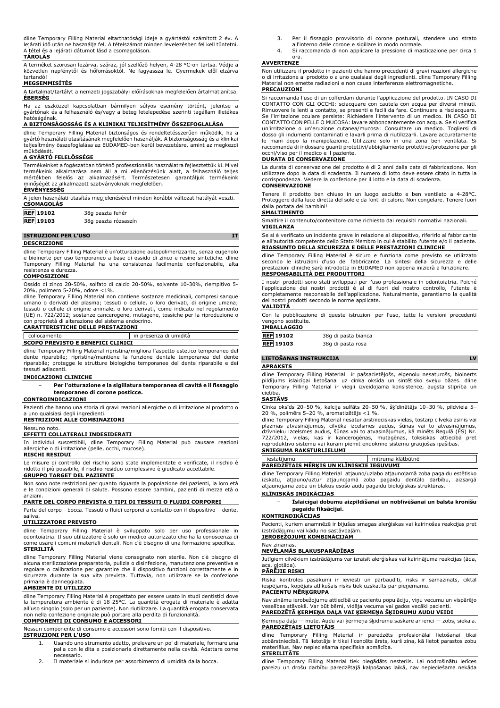dline Temporary Filling Material eltarthatósági ideje a gyártástól számított 2 év. A lejárati idő után ne használja fel. A tételszámot minden levelezésben fel kell tüntetni. A tétel és a lejárati dátumot lásd a csomagoláson.

## **TÁROLÁS**

A terméket szorosan lezárva, száraz, jól szellőző helyen, 4-28 °C-on tartsa. Védje a közvetlen napfénytől és hőforrásoktól. Ne fagyassza le. Gyermekek elől elzárva tartandó!

# **MEGSEMMISÍTÉS**

A tartalmat/tartályt a nemzeti jogszabályi előírásoknak megfelelően ártalmatlanítsa. **ÉBERSÉG**

Ha az eszközzel kapcsolatban bármilyen súlyos esemény történt, jelentse a gyártónak és a felhasználó és/vagy a beteg letelepedése szerinti tagállam illetékes hatóságának.

## **A BIZTONSÁGOSSÁG ÉS A KLINIKAI TELJESÍTMÉNY ÖSSZEFOGLALÁSA**

dline Temporary Filling Material biztonságos és rendeltetésszerűen működik, ha a gyártó használati utasításának megfelelően használják. A biztonságosság és a klinikai teljesítmény összefoglalása az EUDAMED-ben kerül bevezetésre, amint az megkezdi működésé

## **A GYÁRTÓ FELELŐSSÉGE**

Termékeinket a fogászatban történő professzionális használatra fejlesztettük ki. Mivel termékeink alkalmazása nem áll a mi ellenőrzésünk alatt, a felhasználó teljes mértékben felelős az alkalmazásért. Természetesen garantáljuk termékeink inőségét az alkalmazott szabványoknak megfelelően.

## **ÉRVÉNYESSÉG**

| A jelen használati utasítás megjelenésével minden korábbi változat hatályát veszti.<br><b>CSOMAGOLÁS</b> |                      |  |  |
|----------------------------------------------------------------------------------------------------------|----------------------|--|--|
|                                                                                                          |                      |  |  |
| <b>REF</b> 19103                                                                                         | 38g paszta rózsaszín |  |  |
|                                                                                                          |                      |  |  |

## **ISTRUZIONI PER L'USO IT DESCRIZIONE**

dline Temporary Filling Material è un'otturazione autopolimerizzante, senza eugenolo e bioinerte per uso temporaneo a base di ossido di zinco e resine sintetiche. dline Temporary Filling Material ha una consistenza facilmente confezionabile, alta resistenza e durezza. **COMPOSIZIONE**

Ossido di zinco 20-50%, solfato di calcio 20-50%, solvente 10-30%, riempitivo 5- 20%, polimero 5-20%, odore <1%.

dline Temporary Filling Material non contiene sostanze medicinali, compresi sangue umano o derivati del plasma; tessuti o cellule, o loro derivati, di origine umana; tessuti o cellule di origine animale, o loro derivati, come indicato nel regolamento (UE) n. 722/2012; sostanze cancerogene, mutagene, tossiche per la riproduzione o con proprietà di alterazione del sistema endocrino. **CARATTERISTICHE DELLE PRESTAZIONI**

| collocamento                                                                      | in presenza di umidità |  |
|-----------------------------------------------------------------------------------|------------------------|--|
| <b>SCOPO PREVISTO E BENEFICI CLINICI</b>                                          |                        |  |
| dline Temporary Filling Material ripristina/migliora l'aspetto estetico temporano |                        |  |

dline Temporary Filling Material ripristina/migliora l'aspetto estetico temporaneo del dente riparabile; ripristina/mantiene la funzione dentale temporanea del dente riparabile; protegge le strutture biologiche temporanee del dente riparabile e dei tessuti adiacenti.

#### **INDICAZIONI CLINICHE**

− **Per l'otturazione e la sigillatura temporanea di cavità e il fissaggio temporaneo di corone posticce.**

## **CONTROINDICAZIONI**

Pazienti che hanno una storia di gravi reazioni allergiche o di irritazione al prodotto o a uno qualsiasi degli ingredienti. **RESTRIZIONI ALLE COMBINAZIONI**

#### Nessuno noto.

#### **EFFETTI COLLATERALI INDESIDERATI**

In individui suscettibili, dline Temporary Filling Material può causare reazioni allergiche o di irritazione (pelle, occhi, mucose).

#### **RISCHI RESIDUI**

Le misure di controllo del rischio sono state implementate e verificate, il rischio è ridotto il più possibile, il rischio residuo complessivo è giudicato accettabile.

## **GRUPPO TARGET DEL PAZIENTE**

Non sono note restrizioni per quanto riguarda la popolazione dei pazienti, la loro età e le condizioni generali di salute. Possono essere bambini, pazienti di mezza età o anziani. **PARTE DEL CORPO PREVISTA O TIPI DI TESSUTI O FLUIDI CORPOREI**

Parte del corpo - bocca. Tessuti o fluidi corporei a contatto con il dispositivo – dente, saliva.

#### **UTILIZZATORE PREVISTO**

dline Temporary Filling Material è sviluppato solo per uso professionale in odontoiatria. Il suo utilizzatore è solo un medico autorizzato che ha la conoscenza di come usare i comuni materiali dentali. Non c'è bisogno di una formazione specifica. **STERILITÀ**

dline Temporary Filling Material viene consegnato non sterile. Non c'è bisogno di alcuna sterilizzazione preparatoria, pulizia o disinfezione, manutenzione preventiva e regolare o calibrazione per garantire che il dispositivo funzioni correttamente e in sicurezza durante la sua vita prevista. Tuttavia, non utilizzare se la confezione primaria è danneggiata.

## **AMBIENTE DI UTILIZZO**

dline Temporary Filling Material è progettato per essere usato in studi dentistici dove la temperatura ambiente è di 18-25°C. La quantità erogata di materiale è adatta all'uso singolo (solo per un paziente). Non riutilizzare. La quantità erogata conservata non nella confezione originale può portare alla perdita di funzionalità. **COMPONENTI DI CONSUMO E ACCESSORI**

Nessun componente di consumo e accessori sono forniti con il dispositivo. **ISTRUZIONI PER L'USO**

- 1. Usando uno strumento adatto, prelevare un po' di materiale, formare una palla con le dita e posizionarla direttamente nella cavità. Adattare come .<br>necessario
- 2. Il materiale si indurisce per assorbimento di umidità dalla bocca.
- 3. Per il fissaggio provvisorio di corone posturali, stendere uno strato all'interno delle corone e sigillare in modo normale.
- 4. Si raccomanda di non applicare la pressione di masticazione per circa 1 ora.

#### **AVVERTENZE**

Non utilizzare il prodotto in pazienti che hanno precedenti di gravi reazioni allergiche o di irritazione al prodotto o a uno qualsiasi degli ingredienti. dline Temporary Filling Material non emette radiazioni e non causa interferenze elettromagnetiche. **PRECAUZIONI**

Si raccomanda l'uso di un cofferdam durante l'applicazione del prodotto. IN CASO DI CONTATTO CON GLI OCCHI: sciacquare con cautela con acqua per diversi minuti. Rimuovere le lenti a contatto, se presenti e facili da fare. Continuare a risciacquare. Se l'irritazione oculare persiste: Richiedere l'intervento di un medico. IN CASO DI CONTATTO CON PELLE O MUCOSA: lavare abbondantemente con acqua. Se si verifica un'irritazione o un'eruzione cutanea/mucosa: Consultare un medico. Togliersi di dosso gli indumenti contaminati e lavarli prima di riutilizzarli. Lavare accuratamente le mani dopo la manipolazione. Utilizzare solo in una zona ben ventilata. Si raccomanda di indossare guanti protettivi/abbigliamento protettivo/protezione per gli

# occhi/viso per il medico e il paziente. **DURATA DI CONSERVAZIONE**

La durata di conservazione del prodotto è di 2 anni dalla data di fabbricazione. Non utilizzare dopo la data di scadenza. Il numero di lotto deve essere citato in tutta la corrispondenza. Vedere la confezione per il lotto e la data di scadenza.

## **CONSERVAZIONE**

Tenere il prodotto ben chiuso in un luogo asciutto e ben ventilato a 4-28°C. Proteggere dalla luce diretta del sole e da fonti di calore. Non congelare. Tenere fuori dalla portata dei bambini!

## **SMALTIMENTO**

Smaltire il contenuto/contenitore come richiesto dai requisiti normativi nazionali. **VIGILANZA**

#### Se si è verificato un incidente grave in relazione al dispositivo, riferirlo al fabbricante e all'autorità competente dello Stato Membro in cui è stabilito l'utente e/o il paziente. **RIASSUNTO DELLA SICUREZZA E DELLE PRESTAZIONI CLINICHE**

dline Temporary Filling Material è sicuro e funziona come previsto se utilizzato secondo le istruzioni d'uso del fabbricante. La sintesi della sicurezza e delle prestazioni cliniche sarà introdotta in EUDAMED non appena inizierà a funzionare. **RESPONSABILITÀ DEI PRODUTTORI**

# I nostri prodotti sono stati sviluppati per l'uso professionale in odontoiatria. Poiché l'applicazione dei nostri prodotti è al di fuori del nostro controllo, l'utente è

completamente responsabile dell'applicazione. Naturalmente, garantiamo la qualità dei nostri prodotti secondo le norme applicate. **VALIDITÀ**

Con la pubblicazione di queste istruzioni per l'uso, tutte le versioni precedenti vengono sostituite. **IMBALLAGGIO**

| <b>IMPALLAGGIU</b> |                     |
|--------------------|---------------------|
| <b>REF</b> 19102   | 38q di pasta bianca |
| <b>REF</b> 19103   | 38g di pasta rosa   |

| . | bog ar pabla roba |  |
|---|-------------------|--|
|   |                   |  |

## **LIETOŠANAS INSTRUKCIJA LV**

**APRAKSTS**

dline Temporary Filling Material ir pašsacietējošs, eigenolu nesaturošs, bioinerts pildījums īslaicīgai lietošanai uz cinka oksīda un sintētisko sveķu bāzes. dline Temporary Filling Material ir viegli izveidojama konsistence, augsta stiprība un cietība.

## **SASTĀVS**

Cinka oksīds 20–50 %, kalcija sulfāts 20–50 %, šķīdinātājs 10–30 %, pildviela 5– 20 %, polimērs 5–20 %, aromatizētājs <1 %.

dline Temporary Filling Material nesatur ārstnieciskas vielas, tostarp cilvēka asinis vai plazmas atvasinājumus, cilvēka izcelsmes audus, šūnas vai to atvasinājumus, dzīvnieku izcelsmes audus, šūnas vai to atvasinājumus, kā minēts Regulā (ES) Nr. 722/2012, vielas, kas ir kancerogēnas, mutagēnas, toksiskas attiecībā pret reproduktīvo sistēmu vai kurām piemīt endokrīno sistēmu graujošas īpašības. **SNIEGUMA RAKSTURLIELUMI**

| iestatījumu                              | mitruma klātbūtnē                                                                                          |  |
|------------------------------------------|------------------------------------------------------------------------------------------------------------|--|
| PAREDZĒTAIS MĒRKIS UN KLĪNISKIE IEGUVUMI |                                                                                                            |  |
|                                          | - Albert Monecorporal Million Magazine Francisco Assoluta installus adalas Errora in angleški razgadatur i |  |

dline Temporary Filling Material atjauno/uzlabo atjaunojamā zoba pagaidu estētisko izskatu, atjauno/uztur atjaunojamā zoba pagaidu dentālo darbību, aizsargā atjaunojamā zoba un blakus esošo audu pagaidu bioloģiskās struktūras. **KLĪNISKĀS INDIKĀCIJAS**

### − **Īslaicīgai dobumu aizpildīšanai un noblīvēšanai un balsta kronīšu pagaidu fiksācijai.**

#### **KONTRINDIKĀCIJAS**

Pacienti, kuriem anamnēzē ir bijušas smagas alerģiskas vai kairinošas reakcijas pret izstrādājumu vai kādu no sastāvdaļām. **IEROBEŽOJUMI KOMBINĀCIJĀM**

#### Nav zināmas.

### **NEVĒLAMĀS BLAKUSPARĀDĪBAS**

Jutīgiem cilvēkiem izstrādājums var izraisīt alerģiskas vai kairinājuma reakcijas (āda, acs, gļotāda). **PĀRĒJIE RISKI**

Riska kontroles pasākumi ir ieviesti un pārbaudīti, risks ir samazināts, ciktāl iespējams, kopējais atlikušais risks tiek uzskatīts par pieņemamu. **PACIENTU MĒRĶGRUPA**

## Nav zināmu ierobežojumu attiecībā uz pacientu populāciju, viņu vecumu un vispārējo veselības stāvokli. Var būt bērni, vidēja vecuma vai gados vecāki pacienti. **PAREDZĒTĀ ĶERMEŅA DAĻA VAI ĶERMEŅA ŠĶIDRUMU AUDU VEIDI**

Ķermeņa daļa — mute. Audu vai ķermeņa šķidrumu saskare ar ierīci — zobs, siekala. **PAREDZĒTAIS LIETOTĀJS**

dline Temporary Filling Material ir paredzēts profesionālai lietošanai tikai zobārstniecībā. Tā lietotājs ir tikai licencēts ārsts, kurš zina, kā lietot parastos zobu materiālus. Nav nepieciešama specifiska apmācība. **STERILITĀTE**

dline Temporary Filling Material tiek piegādāts nesterils. Lai nodrošinātu ierīces pareizu un drošu darbību paredzētajā kalpošanas laikā, nav nepieciešama nekāda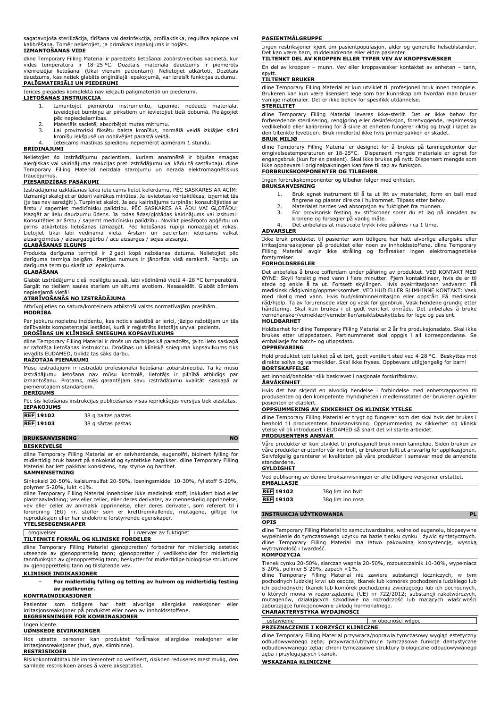sagatavojoša sterilizācija, tīrīšana vai dezinfekcija, profilaktiska, regulāra apkope vai kalibrēšana. Tomēr nelietojiet, ja primārais iepakojums ir bojāts.

**IZMANTOŠANAS VIDE**

dline Temporary Filling Material ir paredzēts lietošanai zobārstniecības kabinetā, kur vides temperatūra ir 18–25 °C. Dozētais materiāla daudzums ir piemērots vienreizējai lietošanai (tikai vienam pacientam). Nelietojiet atkārtoti. Dozētais daudzums, kas netiek glabāts oriģinālajā iepakojumā, var izraisīt funkcijas zudumu.

## **PALĪGMATERIĀLI UN PIEDERUMI**

Ierīces piegādes komplektā nav iekļauti palīgmateriāli un piederumi. **LIETOŠANAS INSTRUKCIJA**

- - 1. Izmantojot piemērotu instrumentu, izņemiet nedaudz materiāla, izveidojiet bumbiņu ar pirkstiem un ievietojiet tieši dobumā. Pielāgojiet pēc nepieciešamības.
	-
	- 2. Materiāls sacietē, absorbējot mutes mitrumu. 3. Lai provizoriski fiksētu balsta kronīšus, normālā veidā izklājiet slāni kronīšu iekšpusē un noblīvējiet parastā veidā.
		- 4. Ieteicams mastikas spiedienu nepiemērot apmēram 1 stundu.

## **BRĪDINĀJUMI**

Nelietojiet šo izstrādājumu pacientiem, kuriem anamnēzē ir bijušas smagas alerģiskas vai kairinājuma reakcijas pret izstrādājumu vai kādu tā sastāvdaļu. dline Temporary Filling Material neizdala starojumu un nerada elektromagnētiskus traucējumus

## **PIESARDZĪBAS PASĀKUMI**

Izstrādājuma uzklāšanas laikā ieteicams lietot koferdamu. PĒC SASKARES AR ACĪM: Uzmanīgi skalojiet ar ūdeni vairākas minūtes. Ja ievietotas kontaktlēcas, izņemiet tās (ja tas nav sarežģīti). Turpiniet skalot. Ja acu kairinājums turpinās: konsultējieties ar<br>ārstu / saņemiet medicīnisku palīdzību. PĒC SASKARES AR ĀDU VAI GĻOTĀDU :<br>Mazgāt ar lielu daudzumu ūdens. Ja rodas ādas/gļot Konsultēties ar ārstu / saņemt medicīnisku palīdzību. Novilkt piesārņoto apģērbu un pirms atkārtotas lietošanas izmazgāt. Pēc lietošanas rūpīgi nomazgājiet rokas.<br>Lietojiet tikai labi vēdināmā vietā. Ārstam un pacientam ieteicams valkāt<br>aizsargcimdus / aizsargapģērbu / acu aizsargus / sejas aizsargu.

## **GLABĀŠANAS ILGUMS**

Produkta derīguma termiņš ir 2 gadi kopš ražošanas datuma. Nelietojiet pēc derīguma termiņa beigām. Partijas numurs ir jānorāda visā sarakstē. Partiju un derīguma termiņu skatīt uz iepakojuma.

### **GLABĀŠANA**

Glabāt izstrādājumu cieši noslēgtu sausā, labi vēdināmā vietā 4–28 °C temperatūrā. Sargāt no tiešiem saules stariem un siltuma avotiem. Nesasaldēt. Glabāt bērniem nepieejamā vietā!

## **ATBRĪVOŠANĀS NO IZSTRĀDĀJUMA**

Atbrīvojieties no satura/konteinera atbilstoši valsts normatīvajām prasībām.

## **MODRĪBA**

Par jebkuru nopietnu incidentu, kas noticis saistībā ar ierīci, jāziņo ražotājam un tās dalībvalsts kompetentajai iestādei, kurā ir reģistrēts lietotājs un/vai pacients.

## **DROŠĪBAS UN KLĪNISKĀ SNIEGUMA KOPSAVILKUMS**

dline Temporary Filling Material ir drošs un darbojas kā paredzēts, ja to lieto saskaņā ar ražotāja lietošanas instrukciju. Drošības un klīniskā snieguma kopsavilkums tiks ievadīts EUDAMED, tiklīdz tas sāks darbu.

#### **RAŽOTĀJA PIENĀKUMI**

Mūsu izstrādājumi ir izstrādāti profesionālai lietošanai zobārstniecībā. Tā kā mūsu izstrādājumu lietošana nav mūsu kontrolē, lietotājs ir pilnībā atbildīgs par izmantošanu. Protams, mēs garantējam savu izstrādājumu kvalitāti saskaņā ar piemērotajiem standartiem.

### **DERĪGUMS**

| . Pēc šīs lietošanas instrukcijas publicēšanas visas iepriekšējās versijas tiek aizstātas<br><b>IEPAKOJUMS</b> |                    |  |  |
|----------------------------------------------------------------------------------------------------------------|--------------------|--|--|
|                                                                                                                |                    |  |  |
| <b>REF 19103</b>                                                                                               | 38 g sārtas pastas |  |  |

## **BRUKSANVISNING NO**

### **BESKRIVELSE**

dline Temporary Filling Material er en selvherdende, eugenolfri, bioinert fylling for midlertidig bruk basert på sinkoksid og syntetiske harpikser. dline Temporary Filling Material har lett pakkbar konsistens, høy styrke og hardhet.

### **SAMMENSETNING**

Sinkoksid 20-50%, kalsiumsulfat 20-50%, løsningsmiddel 10-30%, fyllstoff 5-20%,

polymer 5-20%, lukt <1%. dline Temporary Filling Material inneholder ikke medisinsk stoff, inkludert blod eller plasmaavledning; vev eller celler, eller deres derivater, av menneskelig opprinnelse; vev eller celler av animalsk opprinnelse, eller deres derivater, som referert til i forordning (EU) nr. stoffer som er kreftfremkallende, mutagene, giftige for reproduksjon eller har endokrine forstyrrende egenskaper.

## **YTELSESEGENSKAPER**

i nærvær av fuktighet **TILTENKTE FORMÅL OG KLINISKE FORDELER**

dline Temporary Filling Material gjenoppretter/ forbedrer for midlertidig estetisk utseende av gjenopprettelig tann; gjenoppretter / vedlikeholder for midlertidig tannfunksjon av gjenopprettelig tann; beskytter for midlertidige biologiske strukturer av gjenopprettelig tann og tilstøtende vev.

## **KLINISKE INDIKASJONER**

− **For midlertidig fylling og tetting av hulrom og midlertidig festing av postkroner.**

#### **KONTRAINDIKASJONER**

Pasienter som tidligere har hatt alvorlige allergiske reaksjoner eller irritasjonsreaksjoner på produktet eller noen av innholdsstoffene.

## **BEGRENSNINGER FOR KOMBINASJONER**

#### Ingen kjente. **UØNSKEDE BIVIRKNINGER**

Hos utsatte personer kan produktet forårsake allergiske reaksjoner eller irritasjonsreaksjoner (hud, øye, slimhinne).

## **RESTRISIKOER**

Risikokontrolltiltak ble implementert og verifisert, risikoen reduseres mest mulig, den samlede restrisikoen anses å være akseptabel.

#### **PASIENTMÅLGRUPPE**

Ingen restriksjoner kjent om pasientpopulasjon, alder og generelle helsetilstander. Det kan være barn, middelaldrende eller eldre pasienter.

## **TILTENKT DEL AV KROPPEN ELLER TYPER VEV AV KROPPSVÆSKER**

En del av kroppen – munn. Vev eller kroppsvæsker kontaktet av enheten – tann, spytt.

### **TILTENKT BRUKER**

dline Temporary Filling Material er kun utviklet til profesjonell bruk innen tannpleie. Brukeren kan kun være lisensiert lege som har kunnskap om hvordan man bruker vanlige materialer. Det er ikke behov for spesifikk utdannelse. **STERILITET**

#### dline Temporary Filling Material leveres ikke-sterilt. Det er ikke behov for forberedende sterilisering, rengjøring eller desinfeksjon, forebyggende, regelmessig vedlikehold eller kalibrering for å sikre at enheten fungerer riktig og trygt i løpet av den tiltenkte levetiden. Bruk imidlertid ikke hvis primærpakken er skadet. **BRUK MILJØ**

dline Temporary Filling Material er designet for å brukes på tannlegekontor der omgivelsestemperaturen er 18-25°C. Dispensert mengde materiale er egnet for engangsbruk (kun for én pasient). Skal ikke brukes på nytt. Dispensert mengde som ikke oppbevars i originalpakningen kan føre til tap av funksjon.

## **FORBRUKSKOMPONENTER OG TILBEHØR**

Ingen forbrukskomponenter og tilbehør følger med enheten.

## **BRUKSANVISNING**

- 1. Bruk egnet instrument til å ta ut litt av materialet, form en ball med fingrene og plasser direkte i hulrommet. Tilpass etter behov.
- 2. Materialet herdes ved absorpsjon av fuktighet fra munnen. 3. For provisorisk festing av stiftkroner sprer du et lag på innsiden av kronene og forsegler på vanlig måte.
- Det anbefales at masticate trykk ikke påføres i ca 1 time.

## **ADVARSLER**

Ikke bruk produktet til pasienter som tidligere har hatt alvorlige allergiske eller irritasjonsreaksjoner på produktet eller noen av innholdsstoffene. dline Temporary Filling Material avgir ikke stråling og forårsaker ingen elektromagnetiske forstyrrelser.

#### **FORHOLDSREGLER**

Det anbefales å bruke cofferdam under påføring av produktet. VED KONTAKT MED ØYNE: Skyll forsiktig med vann i flere minutter. Fjern kontaktlinser, hvis de er til<br>stede og enkle å ta ut. Fortsett skyllingen. Hvis øyeirritasjonen vedvarer: Få<br>medisinsk rådgivning/oppmerksomhet. VED HUD ELLER SLIMHINN håndtering. Skal kun brukes i et godt ventilert område. Det anbefales å bruke vernehansker/verneklær/vernebriller/ansiktsbeskyttelse for lege og pasient.

#### **HOLDBARHET**

Holdbarhet for dline Temporary Filling Material er 2 år fra produksjonsdato. Skal ikke brukes etter utløpsdatoen. Partinummeret skal oppgis i all korrespondanse. Se emballasje for batch- og utløpsdato.

## **OPPBEVARING**

Hold produktet tett lukket på et tørt, godt ventilert sted ved 4-28 °C. Beskyttes mot direkte sollys og varmekilder. Skal ikke fryses. Oppbevars utilgjengelig for barn! **BORTSKAFFELSE**

ast innhold/beholder slik beskrevet i nasjonale forskriftskrav.

## **ÅRVÅKENHET**

Hvis det har skjedd en alvorlig hendelse i forbindelse med enhetsrapporten til produsenten og den kompetente myndigheten i medlemsstaten der brukeren og/eller pasienten er etablert.

## **OPPSUMMERING AV SIKKERHET OG KLINISK YTELSE**

dline Temporary Filling Material er trygt og fungerer som det skal hvis det brukes i henhold til produsentens bruksanvisning. Oppsummering av sikkerhet og klinisk ytelse vil bli introdusert i EUDAMED så snart det vil starte arbeidet. **PRODUSENTENS ANSVAR**

Våre produkter er kun utviklet til profesjonell bruk innen tannpleie. Siden bruken av våre produkter er utenfor vår kontroll, er brukeren fullt ut ansvarlig for applikasjonen. Selvfølgelig garanterer vi kvaliteten på våre produkter i samsvar med de anvendte standardene.

#### **GYLDIGHET**

Ved publisering av denne bruksanvisningen er alle tidligere versjoner erstattet. **EMBALLASJE**

| -----------                   |                  |
|-------------------------------|------------------|
| REF 19102                     | 38g lim inn hvit |
| $\overline{\text{REF}}$ 19103 | 38g lim inn rosa |

## **INSTRUKCJA UŻYTKOWANIA PL**

#### **OPIS**

dline Temporary Filling Material to samoutwardzalne, wolne od eugenolu, biopasywne wypełnienie do tymczasowego użytku na bazie tlenku cynku i żywic syntetycznych.<br>dline Temporary Filling Material ma łatwo pakowalną konsystencje, wysoką dline Temporary Filling Material ma łatwo pakowalną konsystencję, wysoką wytrzymałość i twardość.

## **KOMPOZYCJA**

Tlenek cynku 20-50%, siarczan wapnia 20-50%, rozpuszczalnik 10-30%, wypełniacz 5-20%, polimer 5-20%, zapach <1%.

dline Temporary Filling Material nie zawiera substancji leczniczych, w tym<br>pochodnych ludzkiej-krwi-lub-osocza; tkanek-lub-komórek-pochodzenia-ludzkiego-lub<br>ich-pochodnych; tkanek-lub-komórek-pochodzenia-zwierzęcego-lub-ic o których mowa w rozporządzeniu (UE) nr 722/2012; substancji rakotwórczych, mutagenów, działających szkodliwie na rozrodczość lub mających właściwości zaburzające funkcjonowanie układu hormonalnego.

## **CHARAKTERYSTYKA WYDAJNOŚCI**

|                                           | ustawienie                                                                         | w obecności wilgoci |  |
|-------------------------------------------|------------------------------------------------------------------------------------|---------------------|--|
| <b>PRZEZNACZENIE I KORZYŚCI KLINICZNE</b> |                                                                                    |                     |  |
|                                           | dline Temperany Filling Material provisions (pencanis tymogacous) wydad ectetyczny |                     |  |

dline Temporary Filling Material przywraca/poprawia tymczasowy wygląd estetyczny odbudowywanego zęba; przywraca/utrzymuje tymczasowe funkcje dentystyczne odbudowywanego zęba; chroni tymczasowe struktury biologiczne odbudowywanego zęba i przylegających tkanek.

#### **WSKAZANIA KLINICZNE**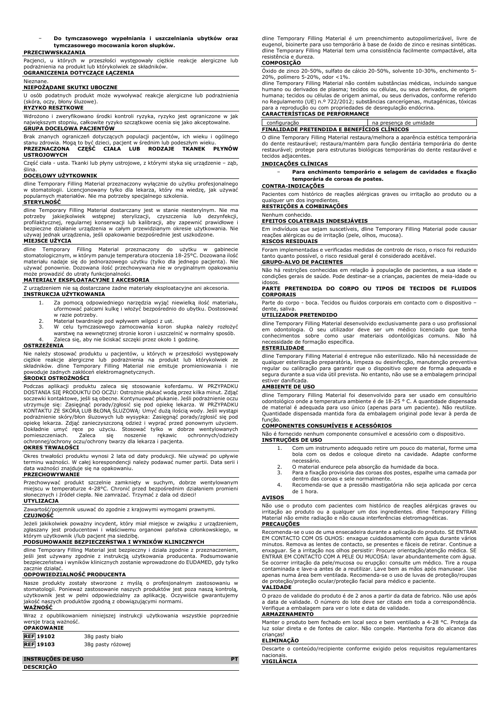#### − **Do tymczasowego wypełniania i uszczelniania ubytków oraz tymczasowego mocowania koron słupków.**

#### **PRZECIWWSKAZANIA**

Pacjenci, u których w przeszłości występowały ciężkie reakcje alergiczne lub podrażnienia na produkt lub którykolwiek ze składników. **OGRANICZENIA DOTYCZĄCE ŁĄCZENIA**

#### Nieznane.

## **NIEPOŻĄDANE SKUTKI UBOCZNE**

U osób podatnych produkt może wywoływać reakcje alergiczne lub podrażnienia (skóra, oczy, błony śluzowe).

## **RYZYKO RESZTKOWE**

Wdrożono i zweryfikowano środki kontroli ryzyka, ryzyko jest ograniczone w jak największym stopniu, całkowite ryzyko szczątkowe ocenia się jako akceptowalne.

## **GRUPA DOCELOWA PACJENTÓW**

Brak znanych ograniczeń dotyczących populacji pacjentów, ich wieku i ogólnego stanu zdrowia. Mogą to być dzieci, pacjent w średnim lub podeszłym wieku. **PRZEZNACZONA CZĘŚĆ CIAŁA LUB RODZAJE TKANEK PŁYNÓW USTROJOWYCH**

#### Część ciała - usta. Tkanki lub płyny ustrojowe, z którymi styka się urządzenie – ząb, ślina.

#### **DOCELOWY UŻYTKOWNIK**

dline Temporary Filling Material przeznaczony wyłącznie do użytku profesjonalnego w stomatologii. Licencjonowany tylko dla lekarza, który ma wiedzę, jak używać popularnych materiałów. Nie ma potrzeby specjalnego szkolenia.

#### **STERYLNOŚĆ**

dline Temporary Filling Material dostarczany jest w stanie niesterylnym. Nie ma potrzeby jakiejkolwiek wstępnej sterylizacji, czyszczenia lub dezynfekcji, profilaktycznej, regularnej konserwacji lub kalibracji, aby zapewnić prawidłowe i bezpieczne działanie urządzenia w całym przewidzianym okresie użytkowania. Nie używaj jednak urządzenia, jeśli opakowanie bezpośrednie jest uszkodzone.

### **MIEJSCE UŻYCIA**

dline Temporary Filling Material przeznaczony do użytku w gabinecie stomatologicznym, w którym panuje temperatura otoczenia 18-25°C. Dozowana ilość materiału nadaje się do jednorazowego użytku (tylko dla jednego pacjenta). Nie używać ponownie. Dozowana ilość przechowywana nie w oryginalnym opakowaniu może prowadzić do utraty funkcjonalności.

## **MATERIAŁY EKSPLOATACYJNE I AKCESORIA**

Z urządzeniem nie są dostarczane żadne materiały eksploatacyjne ani akcesoria. **INSTRUKCJA UŻYTKOWANIA**

- 1. Za pomocą odpowiedniego narzędzia wyjąć niewielką ilość materiału, uformować palcami kulkę i włożyć bezpośrednio do ubytku. Dostosować w razie potrzeby.
- 2. Materiał twardnieje pod wpływem wilgoci z ust.<br>3. W celu tymczasowego zamocowania koron
- 3. W celu tymczasowego zamocowania koron słupka należy rozłożyć warstwę na wewnętrznej stronie koron i uszczelnić w normalny sposób. 4. Zaleca się, aby nie ściskać szczęki przez około 1 godzinę.

## **OSTRZEŻENIA**

Nie należy stosować produktu u pacjentów, u których w przeszłości występowały ciężkie reakcje alergiczne lub podrażnienia na produkt lub którykolwiek ze składników. dline Temporary Filling Material nie emituje promieniowania i nie powoduje żadnych zakłóceń elektromagnetycznych.

## **ŚRODKI OSTROŻNOŚCI**

Podczas aplikacji produktu zaleca się stosowanie koferdamu. W PRZYPADKU<br>DOSTANIA SIĘPRODUKTU DO OCZU: Ostrożnie płukać wodąprzez kilka minut. Zdjąć<br>soczewki kontaktowe, jeśli-są-obecne. Kontynuować-płukanie. Jeśli-podrażni utrzymuje się: Zasięgnąć porady/zgłosić się pod opiekę lekarza. W PRZYPADKU KONTAKTU ZE SKÓRĄ LUB BŁONĄ ŚLUZOWĄ: Umyć dużą ilością wody. Jeśli wystąpi podrażnienie skóry/błon śluzowych lub wysypka: Zasięgnąć porady/zgłosić się pod<br>opiekę lekarza. Zdjąć zanieczyszczoną odzież i wyprać przed ponownym użyciem.<br>Dokładnie umyć ręce po użyciu. Stosować tylko w dobrze pomieszczeniach. Zaleca się noszenie rękawic ochronnych/odzieży ochronnej/ochrony oczu/ochrony twarzy dla lekarza i pacjenta.

#### **OKRES TRWAŁOŚCI**

Okres trwałości produktu wynosi 2 lata od daty produkcji. Nie używać po upływie terminu ważności. W całej korespondencji należy podawać numer partii. Data serii i data ważności znajduje się na opakowaniu.

## **PRZECHOWYWANIE**

Przechowywać produkt szczelnie zamknięty w suchym, dobrze wentylowanym miejscu w temperaturze 4-28°C. Chronić przed bezpośrednim działaniem promieni słonecznych i źródeł ciepła. Nie zamrażać. Trzymać z dala od dzieci!

#### **UTYLIZACJA**

Zawartość/pojemnik usuwać do zgodnie z krajowymi wymogami prawnymi.

## **CZUJNOŚĆ**

Jeżeli jakikolwiek poważny incydent, który miał miejsce w związku z urządzeniem, zgłaszany jest producentowi i właściwemu organowi państwa członkowskiego, w którym użytkownik i/lub pacjent ma siedzibę.

## **PODSUMOWANIE BEZPIECZEŃSTWA I WYNIKÓW KLINICZNYCH**

dline Temporary Filling Material jest bezpieczny i działa zgodnie z przeznaczeniem, jeśli jest używany zgodnie z instrukcją użytkowania producenta. Podsumowanie bezpieczeństwa i wyników klinicznych zostanie wprowadzone do EUDAMED, gdy tylko zacznie działać.

## **ODPOWIEDZIALNOŚĆ PRODUCENTA**

Nasze produkty zostały stworzone z myślą o profesjonalnym zastosowaniu w stomatologii. Ponieważ zastosowanie naszych produktów jest poza naszą kontrolą, użytkownik jest w pełni odpowiedzialny za aplikację. Oczywiście gwarantujemy jakość naszych produktów zgodną z obowiązującymi normami.

### **WAŻNOŚĆ**

Wraz z opublikowaniem niniejszej instrukcji użytkowania wszystkie poprzednie wersje tracą ważność. **OPAKOWANIE**

| <b>OPAKOWANIE</b> |  |
|-------------------|--|
|                   |  |

| <b>REF 19102</b> | 38q pasty biało   |
|------------------|-------------------|
| <b>REF</b> 19103 | 38g pasty różowej |

# **INSTRUÇÕES DE USO PT**

**DESCRIÇÃO**

dline Temporary Filling Material é um preenchimento autopolimerizável, livre de eugenol, bioinerte para uso temporário à base de óxido de zinco e resinas sintéticas. dline Temporary Filling Material tem uma consistência facilmente compactável, alta resistência e dureza.

#### **COMPOSIÇÃO**

Óxido de zinco 20-50%, sulfato de cálcio 20-50%, solvente 10-30%, enchimento 5-

20%, polímero 5-20%, odor <1%. dline Temporary Filling Material não contém substâncias médicas, incluindo sangue humano ou derivados de plasma; tecidos ou células, ou seus derivados, de origem humana; tecidos ou células de origem animal, ou seus derivados, conforme referido no Regulamento (UE) n.º 722/2012; substâncias cancerígenas, mutagénicas, tóxicas para a reprodução ou com propriedades de desregulação endócrina.

## **CARACTERÍSTICAS DE PERFORMANCE**

configuração na presença de umidade **FINALIDADE PRETENDIDA E BENEFÍCIOS CLÍNICOS**

O dline Temporary Filling Material restaura/melhora a aparência estética temporária do dente restaurável; restaura/mantém para função dentária temporária do dente restaurável; protege para estruturas biológicas temporárias do dente restaurável e tecidos adjacentes.

## **INDICAÇÕES CLÍNICAS**

− **Para enchimento temporário e selagem de cavidades e fixação temporária de coroas de postes.**

## **CONTRA-INDICAÇÕES**

Pacientes com histórico de reações alérgicas graves ou irritação ao produto ou a qualquer um dos ingredientes.

## **RESTRIÇÕES A COMBINAÇÕES** Nenhum conhecido.

## **EFEITOS COLATERAIS INDESEJÁVEIS**

Em indivíduos que sejam suscetíveis, dline Temporary Filling Material pode causar reações alérgicas ou de irritação (pele, olhos, mucosa).

## **RISCOS RESIDUAIS**

Foram implementadas e verificadas medidas de controlo de risco, o risco foi reduzido tanto quanto possível, o risco residual geral é considerado aceitável. **GRUPO-ALVO DE PACIENTES**

Não há restrições conhecidas em relação à população de pacientes, a sua idade e condições gerais de saúde. Pode destinar-se a crianças, pacientes de meia-idade ou idosos.

### **PARTE PRETENDIDA DO CORPO OU TIPOS DE TECIDOS DE FLUIDOS CORPORAIS**

Parte do corpo - boca. Tecidos ou fluidos corporais em contacto com o dispositivo – dente, saliva.

## **UTILIZADOR PRETENDIDO**

dline Temporary Filling Material desenvolvido exclusivamente para o uso profissional em odontologia. O seu utilizador deve ser um médico licenciado que tenha conhecimentos sobre como usar materiais odontológicas comuns. Não há necessidade de formação específica.

## **ESTERILIDADE**

dline Temporary Filling Material é entregue não esterilizado. Não há necessidade de qualquer esterilização preparatória, limpeza ou desinfecção, manutenção preventiva regular ou calibração para garantir que o dispositivo opere de forma adequada e segura durante a sua vida útil prevista. No entanto, não use se a embalagem principal estiver danificada.

### **AMBIENTE DE USO**

dline Temporary Filling Material foi desenvolvido para ser usado em consultório odontológico onde a temperatura ambiente é de 18-25 ° C. A quantidade dispensada de material é adequada para uso único (apenas para um paciente). Não reutilize. Quantidade dispensada mantida fora da embalagem original pode levar à perda de função.

## **COMPONENTES CONSUMÍVEIS E ACESSÓRIOS**

Não é fornecido nenhum componente consumível e acessório com o dispositivo. **INSTRUÇÕES DE USO**

- 1. Com um instrumento adequado retire um pouco do material, forme uma bola com os dedos e coloque direto na cavidade. Adapte conforme necessário.
- 2. O material endurece pela absorção da humidade da boca.<br>3. Para a fixação provisória das coroas dos postes, espalhe u
- Para a fixação provisória das coroas dos postes, espalhe uma camada por dentro das coroas e sele normalmente.
- 4. Recomenda-se que a pressão mastigatória não seja aplicada por cerca de 1 hora.

#### **AVISOS**

Não use o produto com pacientes com histórico de reações alérgicas graves ou irritação ao produto ou a qualquer um dos ingredientes. dline Temporary Filling Material não emite radiação e não causa interferências eletromagnéticas. **PRECAUÇÕES**

Recomenda-se o uso de uma ensecadeira durante a aplicação do produto. SE ENTRAR EM CONTACTO COM OS OLHOS: enxague cuidadosamente com água durante vários minutos. Remova as lentes de contacto, se presentes e fáceis de retirar. Continue a<br>enxaguar. Se a irritação nos olhos persistir: Procure orientação/atenção médica. SE<br>ENTRAR EM CONTACTO COM A PELE OU MUCOSA: lavar abundan Se ocorrer irritação da pele/mucosa ou erupção: consulte um médico. Tire a roupa contaminada e lave-a antes de a reutilizar. Lave bem as mãos após manusear. Use apenas numa área bem ventilada. Recomenda-se o uso de luvas de proteção/roupas de proteção/proteção ocular/proteção facial para médico e paciente. **VALIDADE**

#### O prazo de validade do produto é de 2 anos a partir da data de fabrico. Não use após a data de validade. O número do lote deve ser citado em toda a correspondência. Verifique a embalagem para ver o lote e data de validade.

#### **ARMAZENAMENTO**

Manter o produto bem fechado em local seco e bem ventilado a 4-28 °C. Proteja da luz solar direta e de fontes de calor. Não congele. Mantenha fora do alcance das crianças!

## **ELIMINAÇÃO**

Descarte o conteúdo/recipiente conforme exigido pelos requisitos regulamentares nacionais.

**VIGILÂNCIA**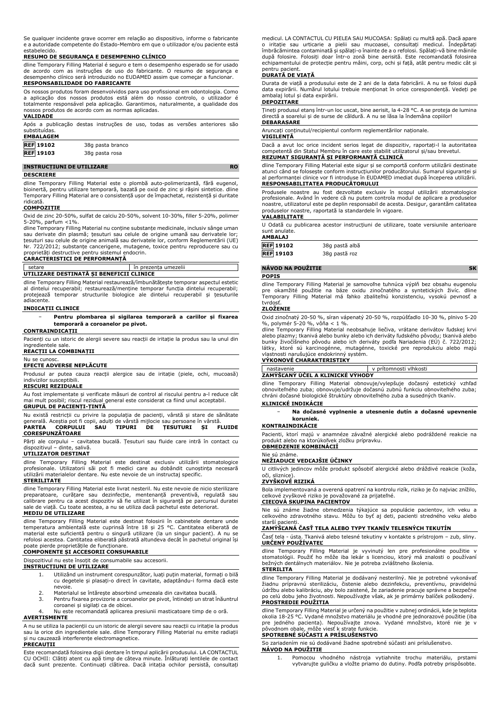Se qualquer incidente grave ocorrer em relação ao dispositivo, informe o fabricante e a autoridade competente do Estado-Membro em que o utilizador e/ou paciente está estabelecido.

#### **RESUMO DE SEGURANÇA E DESEMPENHO CLÍNICO**

dline Temporary Filling Material é seguro e tem o desempenho esperado se for usado de acordo com as instruções de uso do fabricante. O resumo de segurança e desempenho clínico será introduzido no EUDAMED assim que começar a funcionar. **RESPONSABILIDADE DO FABRICANTE**

Os nossos produtos foram desenvolvidos para uso profissional em odontologia. Como a aplicação dos nossos produtos está além do nosso controlo, o utilizador é totalmente responsável pela aplicação. Garantimos, naturalmente, a qualidade dos nossos produtos de acordo com as normas aplicadas. **VALIDADE**

# Após a publicação destas instruções de uso, todas as versões anteriores são

| substituidas.    |                  |  |
|------------------|------------------|--|
| <b>EMBALAGEM</b> |                  |  |
| <b>REF 19102</b> | 38q pasta branco |  |
| <b>REF</b> 19103 | 38g pasta rosa   |  |

#### **INSTRUCȚIUNI DE UTILIZARE RO**

**DESCRIERE**

dline Temporary Filling Material este o plombă auto-polimerizantă, fără eugenol, bioinertă, pentru utilizare temporară, bazată pe oxid de zinc și rășini sintetice. dline Temporary Filling Material are o consistență ușor de împachetat, rezistență și duritate ridicată.

#### **COMPOZIȚIE**

Oxid de zinc 20-50%, sulfat de calciu 20-50%, solvent 10-30%, filler 5-20%, polimer 5-20%, parfum <1%.

dline Temporary Filling Material nu conține substanțe medicinale, inclusiv sânge uman sau derivate din plasmă; țesuturi sau celule de origine umană sau derivatele lor; țesuturi sau celule de origine animală sau derivatele lor, conform Reglementării (UE) Nr. 722/2012; substanțe cancerigene, mutagene, toxice pentru reproducere sau cu proprietăți destructive pentru sistemul endocrin.

## **CARACTERISTICI DE PERFORMANȚĂ**

|                                          | in prezenta umezelii |
|------------------------------------------|----------------------|
| UTILIZARE DESTINATĂ SI BENEFICII CLINICE |                      |

dline Temporary Filling Material restaurează/îmbunătățește temporar aspectul estetic al dintelui recuperabil; restaurează/menține temporar funcția dintelui recuperabil; protejează temporar structurile biologice ale dintelui recuperabil și țesuturile adiacente.

#### **INDICAȚII CLINICE**

− **Pentru plombarea și sigilarea temporară a cariilor și fixarea temporară a coroanelor pe pivot.**

## **CONTRAINDICAȚII**

Pacienți cu un istoric de alergii severe sau reacții de iritație la produs sau la unul din ingredientele sale.

#### **REACȚII LA COMBINAȚII**

Nu se cunosc.

## **EFECTE ADVERSE NEPLĂCUTE**

Produsul ar putea cauza reacții alergice sau de iritație (piele, ochi, mucoasă) indivizilor susceptibili.

#### **RISCURI REZIDUALE**

Au fost implementate și verificate măsuri de control al riscului pentru a-l reduce cât mai mult posibil; riscul rezidual general este considerat ca fiind unul acceptabil. **GRUPUL DE PACIENȚI-ȚINTĂ**

Nu există restricții cu privire la populația de pacienți, vârstă și stare de sănătate generală. Aceștia pot fi copii, adulți de vârstă mijlocie sau persoane în vârstă. **PARTEA CORPULUI SAU TIPURI DE ȚESUTURI ȘI FLUIDE CORESPUNZĂTOARE**

Părți ale corpului – cavitatea bucală. Țesuturi sau fluide care intră în contact cu dispozitivul – dinte, salivă.

#### **UTILIZATOR DESTINAT**

dline Temporary Filling Material este destinat exclusiv utilizării stomatologice profesionale. Utilizatorii săi pot fi medici care au dobândit cunoștința necesară utilizării materialelor dentare. Nu este nevoie de un instructaj specific. **STERILITATE**

dline Temporary Filling Material este livrat nesteril. Nu este nevoie de nicio sterilizare preparatoare, curățare sau dezinfecție, mentenanță preventivă, regulată sau calibrare pentru ca acest dispozitiv să fie utilizat în siguranță pe parcursul duratei sale de viață. Cu toate acestea, a nu se utiliza dacă pachetul este deteriorat.

## **MEDIU DE UTILIZARE**

dline Temporary Filling Material este destinat folosirii în cabinetele dentare unde temperatura ambientală este cuprinsă între 18 și 25 °C. Cantitatea eliberată de<br>material este suficientă pentru o singură utilizare (la un singur pacient). A nu se<br>refolosi acestea. Cantitatea eliberată păstrată altundeva

# poate pierde proprietățile de funcționare. **COMPONENTE ȘI ACCESORII CONSUMABILE**

Dispozitivul nu este însoțit de consumabile sau accesorii.

## **INSTRUCȚIUNI DE UTILIZARE**

- 1. Utilizând un instrument corespunzător, luați puțin material, formați o bilă cu degetele și plasați-o direct în cavitate, adaptându-i forma dacă este nevoie.
- 2. Materialul se întărește absorbind umezeala din cavitatea bucală.
- 3. Pentru fixarea provizorie a coroanelor pe pivot, întindeți un strat înăuntrul coroanei și sigilați ca de obicei.

4. Nu este recomandată aplicarea presiunii masticatoare timp de o oră. **AVERTISMENTE**

A nu se utiliza la pacienții cu un istoric de alergii severe sau reacții cu iritație la produs sau la orice din ingredientele sale. dline Temporary Filling Material nu emite radiații și nu cauzează interferențe electromagnetice.

## **PRECAUȚII**

Este recomandată folosirea digii dentare în timpul aplicării produsului. LA CONTACTUL CU OCHII: Clătiți atent cu apă timp de câteva minute. Înlăturați lentilele de contact dacă sunt prezente. Continuați clătirea. Dacă iritația ochilor persistă, consultați medicul. LA CONTACTUL CU PIELEA SAU MUCOASA: Spălați cu multă apă. Dacă apare o iritație sau urticarie a pielii sau mucoasei, consultați medicul. Îndepărtați îmbrăcămintea contaminată și spălați-o înainte de a o refolosi. Spălați-vă bine mâinile după folosire. Folosiți doar într-o zonă bine aerisită. Este recomandată folosirea echipamentului de protecție pentru mâini, corp, ochi și față, atât pentru medic cât și pentru pacient.

## **DURATĂ DE VIAȚĂ**

Durata de viață a produsului este de 2 ani de la data fabricării. A nu se folosi după data expirării. Numărul lotului trebuie menționat în orice corespondență. Vedeți pe ambalaj lotul și data expirării.

### **DEPOZITARE**

Țineți produsul etanș într-un loc uscat, bine aerisit, la 4-28 °C. A se proteja de lumina directă a soarelui și de surse de căldură. A nu se lăsa la îndemâna copiilor! **DEBARASARE**

## Aruncați conținutul/recipientul conform reglementărilor naționale.

#### **VIGILENȚĂ**

Dacă a avut loc orice incident serios legat de dispozitiv, raportați-l la autoritatea competentă din Statul Membru în care este stabilit utilizatorul și/sau brevetul. **REZUMAT SIGURANȚĂ ȘI PERFORMANȚĂ CLINICĂ**

dline Temporary Filling Material este sigur și se comportă conform utilizării destinate atunci când se folosește conform instrucțiunilor producătorului. Sumarul siguranței și al performanței clinice vor fi introduse în EUDAMED imediat după începerea utilizării. **RESPONSABILITATEA PRODUCĂTORULUI**

Produsele noastre au fost dezvoltate exclusiv în scopul utilizării stomatologice profesionale. Având în vedere că nu putem controla modul de aplicare a produselor noastre, utilizatorul este pe deplin responsabil de acesta. Desigur, garantăm calitatea produselor noastre, raportată la standardele în vigoare.

## **VALABILITATE**

U Odată cu publicarea acestor instrucțiuni de utilizare, toate versiunile anterioare sunt anulate.

#### **AMBALAJ**

**REF 19102** 38g pastă albă

| REF 19103 | 38g pastă roz |
|-----------|---------------|
|           |               |

## **NÁVOD NA POUŽITIE SK**

## **POPIS**

dline Temporary Filling Material je samovoľne tuhnúca výplň bez obsahu eugenolu pre okamžité použitie na báze oxidu zinočnatého a syntetických živíc. dline Temporary Filling Material má ľahko zbaliteľnú konzistenciu, vysokú pevnosť a tvrdosť.

## **ZLOŽENIE**

Oxid zinočnatý 20-50 %, síran vápenatý 20-50 %, rozpúšťadlo 10-30 %, plnivo 5-20 %, polymér 5-20 %, vôňa < 1 %.

dline Temporary Filling Material neobsahuje liečiva, vrátane derivátov ľudskej krvi alebo plazmy; tkanivá alebo bunky alebo ich deriváty ľudského pôvodu; tkanivá alebo bunky živočíšneho pôvodu alebo ich deriváty podľa Nariadenia (EÚ) č. 722/2012; látky, ktoré sú karcinogénne, mutagénne, toxické pre reprodukciu alebo majú<br>vlastnosti narušujúce endokrinný systém.<br>**VÝKONOVÉ CHARAKTERISTIKY** 

# nastavenie v prítomnosti vlhkosti

**ZAMÝŠĽANÝ ÚČEL A KLINICKÉ VÝHODY**

dline Temporary Filling Material obnovuje/vylepšuje dočasný estetický vzhľad obnoviteľného zuba; obnovuje/udržuje dočasnú zubnú funkciu obnoviteľného zuba; chráni dočasné biologické štruktúry obnoviteľného zuba a susedných tkanív. **KLINICKÉ INDIKÁCIE**

− **Na dočasné vyplnenie a utesnenie dutín a dočasné upevnenie koruniek.**

### **KONTRAINDIKÁCIE**

Pacienti, ktorí majú v anamnéze závažné alergické alebo podráždené reakcie na produkt alebo na ktorúkoľvek zložku prípravku. **OBMEDZENIE KOMBINÁCIÍ**

#### Nie sú známe.

### **NEŽIADUCE VEDĽAJŠIE ÚČINKY**

U citlivých jedincov môže produkt spôsobiť alergické alebo dráždivé reakcie (koža, oči, sliznice).

## **ZVYŠKOVÉ RIZIKÁ**

Bola implementovaná a overená opatrení na kontrolu rizík, riziko je čo najviac znížilo, celkové zvyškové riziko je považované za prijateľné.

## **CIEĽOVÁ SKUPINA PACIENTOV**

Nie sú známe žiadne obmedzenia týkajúce sa populácie pacientov, ich veku a celkového zdravotného stavu. Môžu to byť aj deti, pacienti stredného veku alebo starší pacienti.

## **ZAMÝŠĽANÁ ČASŤ TELA ALEBO TYPY TKANÍV TELESNÝCH TEKUTÍN**

Časť tela - ústa. Tkanivá alebo telesné tekutiny v kontakte s prístrojom – zub, sliny. **URČENÝ POUŽÍVATEĽ**

dline Temporary Filling Material je vyvinutý len pre profesionálne použitie v stomatológii. Použiť ho môže iba lekár s licenciou, ktorý má znalosti o používaní bežných dentálnych materiálov. Nie je potreba zvláštneho školenia. **STERILITA**

## dline Temporary Filling Material je dodávaný nesterilný. Nie je potrebné vykonávať žiadnu prípravnú sterilizáciu, čistenie alebo dezinfekciu, preventívnu, pravidelnú údržbu alebo kalibráciu, aby bolo zaistené, že zariadenie pracuje správne a bezpečne po celú dobu jeho životnosti. Nepoužívajte však, ak je primárny balíček poškodený. **PROSTREDIE POUŽITIA**

dline Temporary Filling Material je určený na použitie v zubnej ordinácii, kde je teplota okolia 18-25 °C. Vydané množstvo materiálu je vhodné pre jednorazové použitie (iba pre jedného pacienta). Nepoužívajte znova. Vydané množstvo, ktoré nie je v pôvodnom obale, môže viesť k strate funkcie. **SPOTREBNÉ SÚČASTI A PRÍSLUŠENSTVO**

## So zariadením nie sú dodávané žiadne spotrebné súčasti ani príslušenstvo.

- **NÁVOD NA POUŽITIE**
	- 1. Pomocou vhodného nástroja vytiahnite trochu materiálu, prstami vytvarujte guličku a vložte priamo do dutiny. Podľa potreby prispôsobte.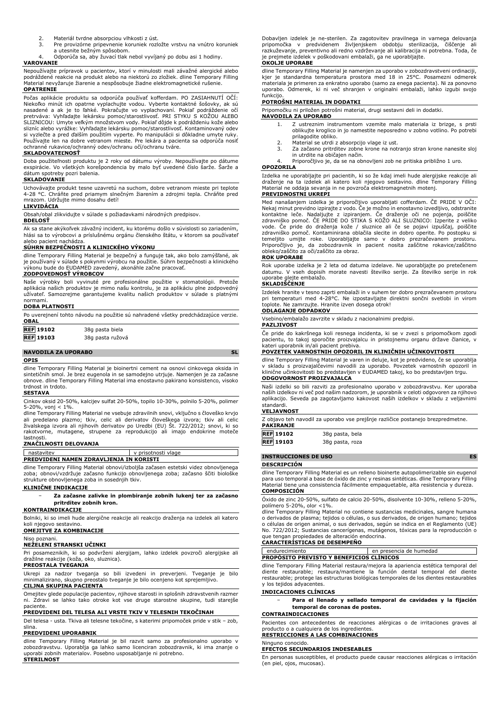- 2. Materiál tvrdne absorpciou vlhkosti z úst.<br>3. Pre provizórne pripevnenie koruniek rozl
- 3. Pre provizórne pripevnenie koruniek rozložte vrstvu na vnútro koruniek a utesnite bežným spôsobom.
- Odporúča sa, aby žuvací tlak nebol vyvíjaný po dobu asi 1 hodiny.

**VAROVANIE**

Nepoužívajte prípravok u pacientov, ktorí v minulosti mali závažné alergické alebo podráždené reakcie na produkt alebo na niektorú zo zložiek. dline Temporary Filling Material nevyžaruje žiarenie a nespôsobuje žiadne elektromagnetické rušenie. **OPATRENIE**

Počas aplikácie produktu sa odporúča používať kofferdam. PO ZASIAHNUTÍ OČÍ: Niekoľko minút ich opatrne vyplachujte vodou. Vyberte kontaktné šošovky, ak sú nasadené a ak je to ľahké. Pokračujte vo vyplachovaní. Pokiaľ podráždenie očí pretrváva: Vyhľadajte lekársku pomoc/starostlivosť. PRI STYKU S KOŽOU ALEBO SLIZNICOU: Umyte veľkým množstvom vody. Pokiaľ dôjde k podráždeniu kože alebo slizníc alebo vyrážke: Vyhľadajte lekársku pomoc/starostlivosť. Kontaminovaný odev si vyzlečte a pred ďalším použitím vyperte. Po manipulácii si dôkladne umyte ruky. Používajte len na dobre vetranom mieste. Pre lekára a pacienta sa odporúča nosiť ochranné rukavice/ochranný odev/ochranu očí/ochranu tváre.

#### **SKLADOVATEĽNOSŤ**

Doba použiteľnosti produktu je 2 roky od dátumu výroby. Nepoužívajte po dátume exspirácie. Vo všetkých korešpondencia by malo byť uvedené číslo šarže. Šarže a dátum spotreby pozri balenia.

## **SKLADOVANIE**

Uchovávajte produkt tesne uzavretú na suchom, dobre vetranom mieste pri teplote 4-28 °C. Chráňte pred priamym slnečným žiarením a zdrojmi tepla. Chráňte pred mrazom. Udržujte mimo dosahu detí!

### **LIKVIDÁCIA**

Obsah/obal zlikvidujte v súlade s požiadavkami národných predpisov.

#### **BDELOSŤ**

Ak sa stane akýkoľvek závažný incident, ku ktorému došlo v súvislosti so zariadením, hlási sa to výrobcovi a príslušnému orgánu členského štátu, v ktorom sa používateľ alebo pacient nachádza.

#### **SÚHRN BEZPEČNOSTI A KLINICKÉHO VÝKONU**

dline Temporary Filling Material je bezpečný a funguje tak, ako bolo zamýšľané, ak je používaný v súlade s pokynmi výrobcu na použitie. Súhrn bezpečnosti a klinického výkonu bude do EUDAMED zavedený, akonáhle začne pracovať.

## **ZODPOVEDNOSŤ VÝROBCOV**

Naše výrobky boli vyvinuté pre profesionálne použitie v stomatológii. Pretože<br>aplikácia našich produktov je mimo našu kontrolu, je za aplikáciu plne zodpovedný<br>užívateľ. Samozrejme garantujeme kvalitu našich produktov v sú normami.

#### **DOBA PLATNOSTI**

| Po uverejnení tohto návodu na použitie sú nahradené všetky predchádzajúce verzie.<br><b>OBAL</b> |                  |  |
|--------------------------------------------------------------------------------------------------|------------------|--|
| <b>REF</b> 19102                                                                                 | 38g pasta biela  |  |
| <b>REF</b> 19103                                                                                 | 38g pasta ružová |  |

### **NAVODILA ZA UPORABO SL OPIS**

dline Temporary Filling Material je bioinertni cement na osnovi cinkovega oksida in sintetičnih smol. Je brez eugenola in se samodejno utrjuje. Namenjen je za začasne obnove. dline Temporary Filling Material ima enostavno pakirano konsistenco, visoko in trdoto.

#### **SESTAVA**

Cinkov oksid 20-50%, kalcijev sulfat 20-50%, topilo 10-30%, polnilo 5-20%, polimer 5-20%, vonj < 1%.

dline Temporary Filling Material ne vsebuje zdravilnih snovi, vključno s človeško krvjo ali predelano plazmo; tkiv, celic ali derivatov človeškega izvora; tkiv ali celic<br>živalskega izvora ali njihovih derivatov po Uredbi (EU) Št. 722/2012; snovi, ki so<br>rakotvorne, mutagene, strupene za reprodukcijo ali imajo lastnosti.

## **ZNAČILNOSTI DELOVANJA**

| nastavitev                                                                                                                                                                                                                     | v prisotnosti vlage |  |
|--------------------------------------------------------------------------------------------------------------------------------------------------------------------------------------------------------------------------------|---------------------|--|
| PREDVIDENI NAMEN ZDRAVLJENJA IN KORISTI                                                                                                                                                                                        |                     |  |
| the second complete the second contract of the complete the second contract of the complete the second contract of the complete the complete the complete that the complete the complete the complete the complete the complet |                     |  |

dline Temporary Filling Material obnovi/izboljša začasen estetski videz obnovljenega zoba; obnovi/vzdržuje začasno funkcijo obnovljenega zoba; začasno ščiti biološke strukture obnovljenega zoba in sosednjih tkiv.

#### **KLINIČNE INDIKACIJE**

− **Za začasne zalivke in plombiranje zobnih lukenj ter za začasno pritrditev zobnih kron.**

## **KONTRAINDIKACIJE**

Bolniki, ki so imeli hude alergične reakcije ali reakcijo draženja na izdelek ali katero koli njegovo sestavino.

## **OMEJITVE ZA KOMBINACIJE**

Niso poznani.

## **NEŽELENI STRANSKI UČINKI**

Pri posameznikih, ki so podvrženi alergijam, lahko izdelek povzroči alergijske ali dražilne reakcije (koža, oko, sluznica).

## **PREOSTALA TVEGANJA**

Ukrepi za nadzor tveganja so bili izvedeni in preverjeni. Tveganje je bilo minimalizirano, skupno preostalo tveganje je bilo ocenjeno kot sprejemljivo. **CILJNA SKUPINA PACIENTA**

### Omejitev glede populacije pacientov, njihove starosti in splošnih zdravstvenih razmer ni. Zdravi se lahko tako otroke kot vse druge starostne skupine, tudi starejše

# paciente. **PREDVIDENI DEL TELESA ALI VRSTE TKIV V TELESNIH TEKOČINAH**

Del telesa - usta. Tkiva ali telesne tekočine, s katerimi pripomoček pride v stik – zob, slina.

#### **PREDVIDENI UPORABNIK**

dline Temporary Filling Material je bil razvit samo za profesionalno uporabo v zobozdravstvu. Uporablja ga lahko samo licenciran zobozdravnik, ki ima znanje o uporabi zobnih materialov. Posebno usposabljanje ni potrebno. **STERILNOST**

Dobavljen izdelek je ne-sterilen. Za zagotovitev pravilnega in varnega delovanja<br>pripomočka - v - predvidenem - življenjskem - obdobju - sterilizacija, - čiščenje - ali<br>razkuževanje, preventivno ali redno vzdrževanje ali k je prejmete izdelek v poškodovani embalaži, ga ne uporabljajte. **OKOLJE UPORABE**

# dline Temporary Filling Material je namenjen za uporabo v zobozdravstveni ordinaciji,

kjer je standardna temperatura prostora med 18 in 25°C. Posamezni odmerek materiala je primeren za enkratno uporabo (samo za enega pacienta). Ni za ponovno uporabo. Odmerek, ki ni več shranjen v originalni embalaži, lahko izgubi svojo funkcijo.

## **POTROŠNI MATERIAL IN DODATKI**

Pripomočku ni priložen potrošni material, drugi sestavni deli in dodatki. **NAVODILA ZA UPORABO**

- 1. Z ustreznim instrumentom vzemite malo materiala iz brizge, s prsti oblikujte kroglico in jo namestite neposredno v zobno votlino. Po potrebi prilagodite obliko.
- 
- 2. Material se utrdi z absorpcijo vlage iz ust. 3. Za začasno pritrditev zobne krone na notranjo stran krone nanesite sloj in utrdite na običajen način.
- 4. Priporočljivo je, da se na obnovljeni zob ne pritiska približno 1 uro. **OPOZORILA**

Izdelka ne uporabljajte pri pacientih, ki so že kdaj imeli hude alergijske reakcije ali draženje na ta izdelek ali katero koli njegovo sestavino. dline Temporary Filling Material ne oddaja sevanja in ne povzroča elektromagnetnih motenj.

#### **PREVIDNOSTNI UKREPI**

Med nanašanjem izdelka je priporočljivo uporabljati cofferdam. CE PRIDE V OCI:<br>Nekaj minut previdno izpirajte z vodo. Če je možno in enostavno izvedljivo, odstranite<br>kontaktne leče. Nadaljujte z izpiranjem. Če draženje oči vode. Če pride do draženja kože / sluznice ali če se pojavi izpuščaj, poiščite zdravniško pomoč. Kontaminirana oblačila slecite in dobro operite. Po postopku si temeljito umijte roke. Uporabljajte samo v dobro prezračevanem prostoru. Priporočljivo je, da zobozdravnik in pacient nosita zaščitne rokavice/zaščitno obleko/zaščito za oči/zaščito za obraz.

### **ROK UPORABE**

Rok uporabe izdelka je 2 leta od datuma izdelave. Ne uporabljajte po pretečenem datumu. V vseh dopisih morate navesti številko serije. Za številko serije in rok uporabe glejte embalažo.

### **SKLADIŠČENJE**

Izdelek hranite v tesno zaprti embalaži in v suhem ter dobro prezračevanem prostoru pri temperaturi med 4-28°C. Ne izpostavljajte direktni sončni svetlobi in virom toplote. Ne zamrzujte. Hranite izven dosega otrok!

## **ODLAGANJE ODPADKOV**

Vsebino/embalažo zavrzite v skladu z nacionalnimi predpisi.

### **PAZLJIVOST**

Če pride do kakršnega koli resnega incidenta, ki se v zvezi s pripomočkom zgodi pacientu, to takoj sporočite proizvajalcu in pristojnemu organu države članice, v kateri uporabnik in/ali pacient prebiva.

#### **POVZETEK VARNOSTNIH OPOZORIL IN KLINIČNIH UČINKOVITOSTI**

dline Temporary Filling Material je varen in deluje, kot je predvideno, če se uporablja v skladu s proizvajalčevimi navodili za uporabo. Povzetek varnostnih opozoril in klinične učinkovitosti bo predstavljen v EUDAMED takoj, ko bo predstavljen trgu. **ODGOVORNOST PROIZVAJALCA**

Naši izdelki so bili razviti za profesionalno uporabo v zobozdravstvu. Ker uporaba naših izdelkov ni več pod našim nadzorom, je uporabnik v celoti odgovoren za njihovo aplikacijo. Seveda pa zagotavljamo kakovost naših izdelkov v skladu z veljavnimi standardi.

### **VELJAVNOST**

Z objavo teh navodil za uporabo vse prejšnje različice postanejo brezpredmetne. **PAKIRANJE**

| <b>REF</b> 19102 | 38g pasta, bela |
|------------------|-----------------|
|                  |                 |

**REF 19103** 38g pasta, roza

## **INSTRUCCIONES DE USO ES**

## **DESCRIPCIÓN**

dline Temporary Filling Material es un relleno bioinerte autopolimerizable sin eugenol para uso temporal a base de óxido de zinc y resinas sintéticas. dline Temporary Filling Material tiene una consistencia fácilmente empaquetable, alta resistencia y dureza. **COMPOSICIÓN**

Óxido de zinc 20-50%, sulfato de calcio 20-50%, disolvente 10-30%, relleno 5-20%, polímero 5-20%, olor <1%.

dline Temporary Filling Material no contiene sustancias medicinales, sangre humana o derivados de plasma; tejidos o células, o sus derivados, de origen humano; tejidos o células de origen animal, o sus derivados, según se indica en el Reglamento (UE) No. 722/2012; Sustancias cancerígenas, mutágenos, tóxicas para la reproducción o que tengan propiedades de alteración endocrina. **CARACTERÍSTICAS DE DESEMPEÑO**

endurecimiento en presencia de humedad **PROPÓSITO PREVISTO Y BENEFICIOS CLÍNICOS**

dline Temporary Filling Material restaura/mejora la apariencia estética temporal del diente restaurable; restaura/mantiene la función dental temporal del diente restaurable; protege las estructuras biológicas temporales de los dientes restaurables y los tejidos adyacentes.

## **INDICACIONES CLÍNICAS**

− **Para el llenado y sellado temporal de cavidades y la fijación temporal de coronas de postes.**

## **CONTRAINDICACIONES**

Pacientes con antecedentes de reacciones alérgicas o de irritaciones graves al producto o a cualquiera de los ingredientes.

## **RESTRICCIONES A LAS COMBINACIONES**

Ninguno conocido.

#### **EFECTOS SECUNDARIOS INDESEABLES**

En personas susceptibles, el producto puede causar reacciones alérgicas o irritación (en piel, ojos, mucosas).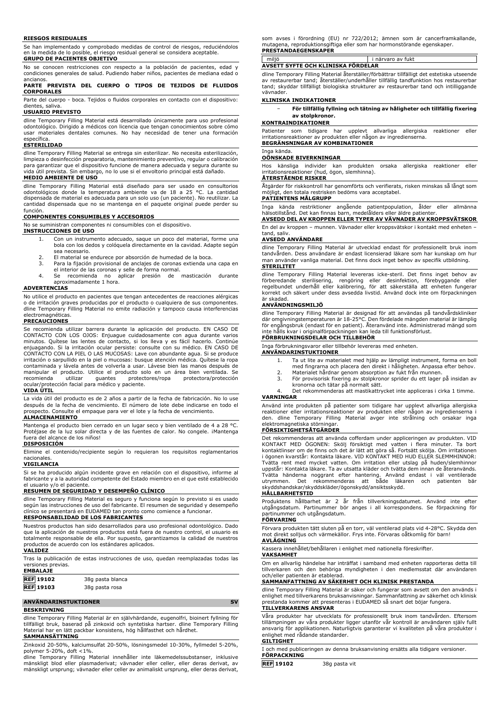#### **RIESGOS RESIDUALES**

Se han implementado y comprobado medidas de control de riesgos, reduciéndolos en la medida de lo posible, el riesgo residual general se considera aceptable. **GRUPO DE PACIENTES OBJETIVO**

No se conocen restricciones con respecto a la población de pacientes, edad y condiciones generales de salud. Pudiendo haber niños, pacientes de mediana edad o ancianos.

### **PARTE PREVISTA DEL CUERPO O TIPOS DE TEJIDOS DE FLUIDOS CORPORALES**

Parte del cuerpo - boca. Tejidos o fluidos corporales en contacto con el dispositivo: dientes, saliva.

## **USUARIO PREVISTO**

dline Temporary Filling Material está desarrollado únicamente para uso profesional odontológico. Dirigido a médicos con licencia que tengan conocimientos sobre cómo usar materiales dentales comunes. No hay necesidad de tener una formación específica.

#### **ESTERILIDAD**

dline Temporary Filling Material se entrega sin esterilizar. No necesita esterilización, limpieza o desinfección preparatoria, mantenimiento preventivo, regular o calibración para garantizar que el dispositivo funcione de manera adecuada y segura durante su vida útil prevista. Sin embargo, no lo use si el envoltorio principal está dañado. **MEDIO AMBIENTE DE USO**

dline Temporary Filling Material está diseñado para ser usado en consultorios odontológicos donde la temperatura ambiente va de 18 a 25 °C. La cantidad dispensada de material es adecuada para un solo uso (un paciente). No reutilizar. La cantidad dispensada que no se mantenga en el paquete original puede perder su función.

## **COMPONENTES CONSUMIBLES Y ACCESORIOS**

No se suministran componentes ni consumibles con el dispositivo.

- **INSTRUCCIONES DE USO**
	- 1. Con un instrumento adecuado, saque un poco del material, forme una bola con los dedos y colóquela directamente en la cavidad. Adapte según sea necesario.
	- 2. El material se endurece por absorción de humedad de la boca.<br>3. Para la fijación provisional de anclajes de coronas extienda ur
	- 3. Para la fijación provisional de anclajes de coronas extienda una capa en el interior de las coronas y selle de forma normal.
	- 4. Se recomienda no aplicar presión de masticación durante aproximadamente 1 hora.

## **ADVERTENCIAS**

No utilice el producto en pacientes que tengan antecedentes de reacciones alérgicas o de irritación graves producidas por el producto o cualquiera de sus componentes. dline Temporary Filling Material no emite radiación y tampoco causa interferencias electromagnéticas.

## **PRECAUCIONES**

Se recomienda utilizar barrera durante la aplicación del producto. EN CASO DE CONTACTO CON LOS OJOS: Enjuague cuidadosamente con agua durante varios minutos. Quítese las lentes de contacto, si los lleva y es fácil hacerlo. Continúe enjuagando. Si la irritación ocular persiste: consulte con su médico. EN CASO DE CONTACTO CON LA PIEL O LAS MUCOSAS: Lave con abundante agua. Si se produce irritación o sarpullido en la piel o mucosas: busque atención médica. Quítese la ropa contaminada y lávela antes de volverla a usar. Lávese bien las manos después de manipular el producto. Utilice el producto solo en un área bien ventilada. Se<br>recomienda utilizar quantes protectores/ropa protectora/protección recomienda utilizar guantes protectores/ropa protectora/protección ocular/protección facial para médico y paciente.

## **VIDA ÚTIL**

La vida útil del producto es de 2 años a partir de la fecha de fabricación. No lo use después de la fecha de vencimiento. El número de lote debe indicarse en todo el prospecto. Consulte el empaque para ver el lote y la fecha de vencimiento.

## **ALMACENAMIENTO**

Mantenga el producto bien cerrado en un lugar seco y bien ventilado de 4 a 28 °C. Protéjase de la luz solar directa y de las fuentes de calor. No congele. ¡Mantenga fuera del alcance de los niños! **DISPOSICIÓN**

Elimine el contenido/recipiente según lo requieran los requisitos reglamentarios nacionales.

### **VIGILANCIA**

Si se ha producido algún incidente grave en relación con el dispositivo, informe al fabricante y a la autoridad competente del Estado miembro en el que esté establecido el usuario y/o el paciente.

## **RESUMEN DE SEGURIDAD Y DESEMPEÑO CLÍNICO**

dline Temporary Filling Material es seguro y funciona según lo previsto si es usado según las instrucciones de uso del fabricante. El resumen de seguridad y desempeño clínico se presentará en EUDAMED tan pronto como comience a funcionar.

## **RESPONSABILIDAD DE LOS FABRICANTES**

Nuestros productos han sido desarrollados para uso profesional odontológico. Dado que la aplicación de nuestros productos está fuera de nuestro control, el usuario es totalmente responsable de ella. Por supuesto, garantizamos la calidad de nuestros productos de acuerdo con los estándares aplicados. **VALIDEZ**

Tras la publicación de estas instrucciones de uso, quedan reemplazadas todas las versiones previas. **EMBALAJE**

| LMDALAJL                 |                  |
|--------------------------|------------------|
| $\overline{\phantom{a}}$ | <b>REF</b> 19102 |

## **ANVÄNDARINSTUKTIONER** SV **BESKRIVNING**

**REF 19102** 38g pasta blanca

dline Temporary Filling Material är en självhärdande, eugenolfri, bioinert fyllning för tillfälligt bruk, baserad på zinkoxid och syntetiska hartser. dline Temporary Filling Material har en lätt packbar konsistens, hög hållfasthet och hårdhet. **SAMMANSÄTTNING**

Zinkoxid 20-50%, kalciumsulfat 20-50%, lösningsmedel 10-30%, fyllmedel 5-20%,

polymer 5-20%, doft <1%.<br>dline Temporary Filling Material innehåller inte läkemedelssubstanser, inklusive<br>mänskligt blod eller plasmaderivat; vävnader eller celler, eller deras derivat, av mänskligt ursprung; vävnader eller celler av animaliskt ursprung, eller deras derivat, som avses i förordning (EU) nr 722/2012; ämnen som är cancerframkallande, mutagena, reproduktionsgiftiga eller som har hormonstörande egenskaper. **PRESTANDAEGENSKAPER**

| <br>r.                                 | av fukt |
|----------------------------------------|---------|
| <br>AVSETT SYFTE OCH KLINISKA FORDELAR |         |

dline Temporary Filling Material återställer/förbättrar tillfälligt det estetiska utseende av restaurerbar tand; återställer/underhåller tillfällig tandfunktion hos restaurerbar tand; skyddar tillfälligt biologiska strukturer av restaurerbar tand och intilliggande vävnader.

## **KLINISKA INDIKATIONER**

| $\overline{\phantom{0}}$ | För tillfällig fyllning och tätning av håligheter och tillfällig fixering |
|--------------------------|---------------------------------------------------------------------------|
|                          | av stolpkronor.                                                           |

#### **KONTRAINDIKATIONER**

Patienter som tidigare har upplevt allvarliga allergiska reaktioner eller irritationsreaktioner av produkten eller någon av ingredienserna. **BEGRÄNSNINGAR AV KOMBINATIONER**

## Inga kända.

## **OÖNSKADE BIVERKNINGAR**

Hos känsliga individer kan produkten orsaka allergiska reaktioner eller irritationsreaktioner (hud, ögon, slemhinna).

## **ÅTERSTÅENDE RISKER**

Åtgärder för riskkontroll har genomförts och verifierats, risken minskas så långt som möjligt, den totala restrisken bedöms vara acceptabel. **PATIENTENS MÅLGRUPP**

Inga kända restriktioner angående patientpopulation, ålder eller allmänna hälsotillstånd. Det kan finnas barn, medelålders eller äldre patienter.

**AVSEDD DEL AV KROPPEN ELLER TYPER AV VÄVNADER AV KROPPSVÄTSKOR** En del av kroppen – munnen. Vävnader eller kroppsvätskor i kontakt med enheten – tand, saliv.

## **AVSEDD ANVÄNDARE**

dline Temporary Filling Material är utvecklad endast för professionellt bruk inom tandvården. Dess användare är endast licensierad läkare som har kunskap om hur man använder vanliga material. Det finns dock inget behov av specifik utbildning. **STERILITET**

dline Temporary Filling Material levereras icke-steril. Det finns inget behov av förberedande sterilisering, rengöring eller desinfektion, förebyggande eller regelbundet underhåll eller kalibrering, för att säkerställa att enheten fungerar korrekt och säkert under dess avsedda livstid. Använd dock inte om förpackningen är skadad.

## **ANVÄNDNINGSMILJÖ**

dline Temporary Filling Material är designad för att användas på tandvårdskliniker där omgivningstemperaturen är 18-25°C. Den fördelade mängden material är lämplig för engångsbruk (endast för en patient). Återanvänd inte. Administrerad mängd som inte hålls kvar i originalförpackningen kan leda till funktionsförlust.

## **FÖRBRUKNINGSDELAR OCH TILLBEHÖR**

Inga förbrukningsvaror eller tillbehör levereras med enheten.

- **ANVÄNDARINSTUKTIONER**
	- 1. Ta ut lite av materialet med hjälp av lämpligt instrument, forma en boll med fingrarna och placera den direkt i håligheten. Anpassa efter behov. 2. Materialet hårdnar genom absorption av fukt från munnen.
	- 3. För provisorisk fixering av stolpkronor sprider du ett lager på insidan av kronorna och tätar på normalt sätt.
	- 4. Det rekommenderas att mastikattrycket inte appliceras i cirka 1 timme.

#### **VARNINGAR**

Använd inte produkten på patienter som tidigare har upplevt allvarliga allergiska reaktioner eller irritationsreaktioner av produkten eller någon av ingredienserna i den. dline Temporary Filling Material avger inte strålning och orsakar inga elektromagnetiska störningar.

### **FÖRSIKTIGHETSÅTGÄRDER**

Det rekommenderas att använda cofferdam under appliceringen av produkten. VID KONTAKT MED ÖGONEN: Skölj försiktigt med vatten i flera minuter. Ta bort kontaktlinser om de finns och det är lätt att göra så. Fortsätt skölja. Om irritationen i ögonen kvarstår: Kontakta läkare. VID KONTAKT MED HUD ELLER SLEMMHINNOR: Tvätta rent med mycket vatten. Om irritation eller utslag på huden/slemhinnor uppstăr: Kontakta läkare. Ta av utsatta kläder och tvätta dem innan de ăteranvänds.<br>Tvätta händerna noggrant efter hantering. Använd endast i väl ventilerade<br>utrymmen. Det rekommenderas att

#### **HÅLLBARHETSTID**

Produktens hållbarhet är 2 år från tillverkningsdatumet. Använd inte efter utgångsdatum. Partinummer bör anges i all korrespondens. Se förpackning för partinummer och utgångsdatum.

## **FÖRVARING**

Förvara produkten tätt sluten på en torr, väl ventilerad plats vid 4-28°C. Skydda den mot direkt solljus och värmekällor. Frys inte. Förvaras oåtkomlig för barn! **AVLÄGNING**

Kassera innehållet/behållaren i enlighet med nationella föreskrifter.

**VAKSAMHET**

Om en allvarlig händelse har inträffat i samband med enheten rapporteras detta till tillverkaren och den behöriga myndigheten i den medlemsstat där användaren och/eller patienten är etablerad.

## **SAMMANFATTNING AV SÄKERHET OCH KLINISK PRESTANDA**

dline Temporary Filling Material är säker och fungerar som avsett om den används i enlighet med tillverkarens bruksanvisningar. Sammanfattning av säkerhet och klinisk prestanda kommer att presenteras i EUDAMED så snart det böjar fungera.

## **TILLVERKARENS ANSVAR**

Våra produkter har utvecklats för professionellt bruk inom tandvården. Eftersom tillämpningen av våra produkter ligger utanför vår kontroll är användaren själv fullt ansvarig för applikationen. Naturligtvis garanterar vi kvaliteten på våra produkter i enlighet med rådande standarder.

## **GILTIGHET**

I och med publiceringen av denna bruksanvisning ersätts alla tidigare versioner. **FÖRPACKNING**

**REF 19102** 38g pasta vit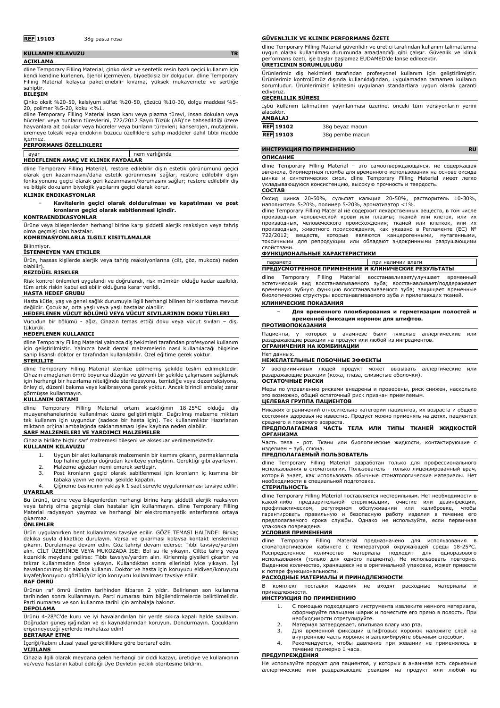## **REF 19103** 38g pasta rosa

| <b>KULLANIM KILAVUZU</b>                                                                   | TR |
|--------------------------------------------------------------------------------------------|----|
| <b>ACIKLAMA</b>                                                                            |    |
| dline Temporary Filling Material, cinko oksit ve sentetik resin bazlı geçici kullanım için |    |
| kendi kendine kürlenen, öjenol içermeyen, biyoetkisiz bir dolgudur. dline Temporary        |    |
| Filling Material kolayca paketlenebilir kıvama, yüksek mukavemete ve sertliğe              |    |

#### sahiptir. **BILEŞIM**

Çinko oksit %20-50, kalsiyum sülfat %20-50, çözücü %10-30, dolgu maddesi %5- 20, polimer %5-20, koku <%1.

dline Temporary Filling Material insan kanı veya plazma türevi, insan dokuları veya hücreleri veya bunların türevlerini, 722/2012 Sayılı Tüzük (AB)'de bahsedildiği üzere hayvanlara ait dokular veya hücreler veya bunların türevleri; kanserojen, mutajenik, üremeye toksik veya endokrin bozucu özelliklere sahip maddeler dahil tıbbi madde içermez.

## **PERFORMANS ÖZELLIKLERI**

| ayar                               | nem varlığında |  |  |  |
|------------------------------------|----------------|--|--|--|
| HEDEFLENEN AMAC VE KLINIK FAYDALAR |                |  |  |  |

dline Temporary Filling Material, restore edilebilir dişin estetik görünümünü geçici olarak geri kazanmasını/daha estetik görünmesini sağlar, restore edilebilir dişin fonksiyonunu geçici olarak geri kazanmasını/korumasını sağlar; restore edilebilir diş ve bitişik dokuların biyolojik yapılarını geçici olarak korur.

## **KLINIK ENDIKASYONLAR**

− **Kavitelerin geçici olarak doldurulması ve kapatılması ve post kronların geçici olarak sabitlenmesi içindir.**

## **KONTRAENDIKASYONLAR**

Ürüne veya bileşenlerden herhangi birine karşı şiddetli alerjik reaksiyon veya tahriş olma geçmişi olan hastalar.

**KOMBINASYONLARLA ILGILI KISITLAMALAR**

#### Bilinmiyor.

**İSTENMEYEN YAN ETKILER**

Ürün, hassas kişilerde alerjik veya tahriş reaksiyonlarına (cilt, göz, mukoza) neden olabilir).

## **REZIDÜEL RISKLER**

Risk kontrol önlemleri uygulandı ve doğrulandı, risk mümkün olduğu kadar azaltıldı, tüm artık riskin kabul edilebilir olduğuna karar verildi.

### **HASTA HEDEF GRUBU**

Hasta kütle, yaş ve genel sağlık durumuyla ilgili herhangi bilinen bir kısıtlama mevcut değildir. Çocuklar, orta yaşlı veya yaşlı hastalar olabilir. **HEDEFLENEN VÜCUT BÖLÜMÜ VEYA VÜCUT SIVILARININ DOKU TÜRLERI**

## Vücudun bir bölümü - ağız. Cihazın temas ettiği doku veya vücut sıvıları – diş, tükürük.

**HEDEFLENEN KULLANICI**

dline Temporary Filling Material yalnızca diş hekimleri tarafından profesyonel kullanım için geliştirilmiştir. Yalnızca basit dental malzemelerin nasıl kullanılacağı bilgisine sahip lisanslı doktor er tarafından kullanılabilir. Özel eğitime gerek yoktur. **STERILITE**

#### dline Temporary Filling Material sterilize edilmemiş şekilde teslim edilmektedir. Cihazın amaçlanan ömrü boyunca düzgün ve güvenli bir şekilde çalışmasını sağlamak için herhangi bir hazırlama niteliğinde sterilizasyona, temizliğe veya dezenfeksiyona, önleyici, düzenli bakıma veya kalibrasyona gerek yoktur. Ancak birincil ambalaj zarar görmüşse kullanmayın.

## **KULLANIM ORTAMI**

dline Temporary Filling Material ortam sıcaklığının 18-25°C olduğu diş muayenehanelerinde kullanılmak üzere geliştirilmiştir. Dağıtılmış malzeme miktarı tek kullanım için uygundur (sadece bir hasta için). Tek kullanımlıktır Hazırlanan miktarın orijinal ambalajında saklanmaması işlev kaybına neden olabilir.

## **SARF MALZEMELERI VE YARDIMCI MALZEMELER**

Cihazla birlikte hiçbir sarf malzemesi bileşeni ve aksesuar verilmemektedir.

### **KULLANIM KILAVUZU**

- 1. Uygun bir alet kullanarak malzemenin bir kısmını çıkarın, parmaklarınızla top haline getirip doğrudan kaviteye yerleştirin. Gerektiği gibi ayarlayın.
- 2. Malzeme ağızdan nemi emerek sertleşir.
- 3. Post kronların geçici olarak sabitlenmesi için kronların iç kısmına bir tabaka yayın ve normal şekilde kapatın.
- 4. Çiğneme basıncının yaklaşık 1 saat süreyle uygulanmaması tavsiye edilir. **UYARILAR**

Bu ürünü, ürüne veya bileşenlerden herhangi birine karşı şiddetli alerjik reaksiyon veya tahriş olma geçmişi olan hastalar için kullanmayın. dline Temporary Filling Material radyasyon yaymaz ve herhangi bir elektromanyetik enterferans ortaya

# çıkarmaz. **ÖNLEMLER**

Ürün uygulanırken bent kullanılması tavsiye edilir. GÖZE TEMASI HALİNDE: Birkaç dakika suyla dikkatlice durulayın. Varsa ve çıkarması kolaysa kontakt lenslerinizi<br>çıkarın. Durulamaya devam edin. Göz tahrişi devam ederse: Tıbbi tavsiye/yardım<br>alın. CİLT ÜZERİNDE VEYA MUKOZADA İSE: Bol su ile yıkayın. C tekrar kullanmadan önce yıkayın. Kullandıktan sonra ellerinizi iyice yıkayın. İyi havalandırılmış bir alanda kullanın. Doktor ve hasta için koruyucu eldiven/koruyucu kıyafet/koruyucu gözlük/yüz için koruyucu kullanılması tavsiye edilir.

## **RAF ÖMRÜ**

Ürünün raf ömrü üretim tarihinden itibaren 2 yıldır. Belirlenen son kullanma tarihinden sonra kullanmayın. Parti numarası tüm bilgilendirmelerde belirtilmelidir. Parti numarası ve son kullanma tarihi için ambalaja bakınız.

## **DEPOLAMA**

Ürünü 4-28°C'de kuru ve iyi havalandırılan bir yerde sıkıca kapalı halde saklayın. Doğrudan güneş ışığından ve ısı kaynaklarından koruyun. Dondurmayın. Çocukların erişemeyeceği yerlerde muhafaza edin! **BERTARAF ETME**

İçeriği/kabını ulusal yasal gerekliliklere göre bertaraf edin.

## **VIJILANS**

Cihazla ilgili olarak meydana gelen herhangi bir ciddi kazayı, üreticiye ve kullanıcının ve/veya hastanın kabul edildiği Üye Devletin yetkili otoritesine bildirin.

#### **GÜVENLILIK VE KLINIK PERFORMANS ÖZETI**

dline Temporary Filling Material güvenlidir ve üretici tarafından kullanım talimatlarına uygun olarak kullanılması durumunda amaçlandığı gibi çalışır. Güvenlik ve klinik performans özeti, işe başlar başlamaz EUDAMED'de lanse edilecektir. **ÜRETICININ SORUMLULUĞU**

Ürünlerimiz diş hekimleri tarafından profesyonel kullanım için geliştirilmiştir. Ürünlerimiz kontrolümüz dışında kullanıldığından, uygulamadan tamamen kullanıcı sorumludur. Ürünlerimizin kalitesini uygulanan standartlara uygun olarak garanti

# ediyoruz. **GEÇERLILIK SÜRESI**

İşbu kullanım talimatının yayınlanması üzerine, önceki tüm versiyonların yerini alacaktır.

## **AMBALAJ**

| REF 19102 | 38g beyaz macun |
|-----------|-----------------|
| REF 19103 | 38q pembe macun |

## **ИНСТРУКЦИЯ ПО ПРИМЕНЕНИЮ RU**

#### **ОПИСАНИЕ**

dline Temporary Filling Material – это самоотверждающаяся, не содержащая эвгенола, биоинертная пломба для временного использования на основе оксида цинка и синтетических смол. dline Temporary Filling Material имеет легко укладывающуюся консистенцию, высокую прочность и твердость. **СОСТАВ**

Оксид цинка 20-50%, сульфат кальция 20-50%, растворитель 10-30%,

наполнитель 5-20%, полимер 5-20%, ароматизатор <1%. dline Temporary Filling Material не содержит лекарственных веществ, в том числе производных человеческой крови или плазмы; тканей или клеток, или их производных, человеческого происхождения; тканей или клеткок, или их производных, животного происхождения, как указано в Регламенте (ЕС) № 722/2012; веществ, которые являются канцерогенными, мутагенными, токсичными для репродукции или обладают эндокринными разрушающими свойствами.

## **ФУНКЦИОНАЛЬНЫЕ ХАРАКТЕРИСТИКИ**

параметр при наличии влаги **ПРЕДУСМОТРЕННОЕ ПРИМЕНЕНИЕ И КЛИНИЧЕСКИЕ РЕЗУЛЬТАТЫ**

dline Temporary Filling Material восстанавливает/улучшает временный эстетический вид восстанавливаемого зуба; восстанавливает/поддерживает временную зубную функцию восстанавливаемого зуба; защищает временные биологические структуры восстанавливаемого зуба и прилегающих тканей.

## **КЛИНИЧЕСКИЕ ПОКАЗАНИЯ**

− **Для временного пломбирования и герметизации полостей и временной фиксации коронок для штифтов.**

## **ПРОТИВОПОКАЗАНИЯ**

Пациенты, у которых в анамнезе были тяжелые аллергические или раздражающие реакции на продукт или любой из ингредиентов. **ОГРАНИЧЕНИЯ НА КОМБИНАЦИИ**

### Нет данных.

## **НЕЖЕЛАТЕЛЬНЫЕ ПОБОЧНЫЕ ЭФФЕКТЫ**

У восприимчивых людей продукт может вызывать аллергические или раздражающие реакции (кожа, глаза, слизистые оболочки). **ОСТАТОЧНЫЕ РИСКИ**

Меры по управлению рисками внедрены и проверены, риск снижен, насколько это возможно, общий остаточный риск признан приемлемым. **ЦЕЛЕВАЯ ГРУППА ПАЦИЕНТОВ**

Никаких ограничений относительно категории пациентов, их возраста и общего состояния здоровья не известно. Продукт можно применять на детях, пациентах

среднего и пожилого возраста. **ПРЕДПОЛАГАЕМАЯ ЧАСТЬ ТЕЛА ИЛИ ТИПЫ ТКАНЕЙ ЖИДКОСТЕЙ ОРГАНИЗМА**

Часть тела - рот. Ткани или биологические жидкости, контактирующие с<br>изделием – зуб. слюна. , слюна

## **ПРЕДПОЛАГАЕМЫЙ ПОЛЬЗОВАТЕЛЬ**

dline Temporary Filling Material разработан только для профессионального использования в стоматологии. Пользователь - только лицензированный врач, который знает, как использовать обычные стоматологические материалы. Нет необходимости в специальной подготовке.

#### **СТЕРИЛЬНОСТЬ**

dline Temporary Filling Material поставляется нестерильным. Нет необходимости в какой-либо предварительной стерилизации, очистке или дезинфекции,<br>профилактическом, регулярном обслуживании или калибровке, чтобы<br>гарантировать правильную и безопасную работу изделия в течение его<br>предполагаемого срока сл упаковка повреждена.

#### **УСЛОВИЯ ПРИМЕНЕНИЯ**

dline Temporary Filling Material предназначено для использования стоматологическом кабинете с температурой окружающей среды 18-25°C.<br>Распределенное количество материала подходит для одноразового<br>использования (только для одного пациента). Не использовать повторно. Выданное количество, хранящееся не в оригинальной упаковке, может привести к потере функциональности.

## **РАСХОДНЫЕ МАТЕРИАЛЫ И ПРИНАДЛЕЖНОСТИ**

В комплект поставки изделия не входят расходные материалы и принадлежности.

#### **ИНСТРУКЦИЯ ПО ПРИМЕНЕНИЮ**

- 1. С помощью подходящего инструмента извлеките немного материала, сформируйте пальцами шарик и поместите его прямо в полость. При необходимости отрегулируйте.
- 2. Материал затвердевает, впитывая влагу изо рта.<br>3. Для временной фиксации штифтовых коронок
- 3. Для временной фиксации штифтовых коронок наложите слой на внутреннюю часть коронок и запломбируйте обычным способом.
- 4. Рекомендуется, чтобы давление при жевании не применялось в течение примерно 1 часа.

## **ПРЕДУПРЕЖДЕНИЯ**

Не используйте продукт для пациентов, у которых в анамнезе есть серьезные аллергические или раздражающие реакции на продукт или любой из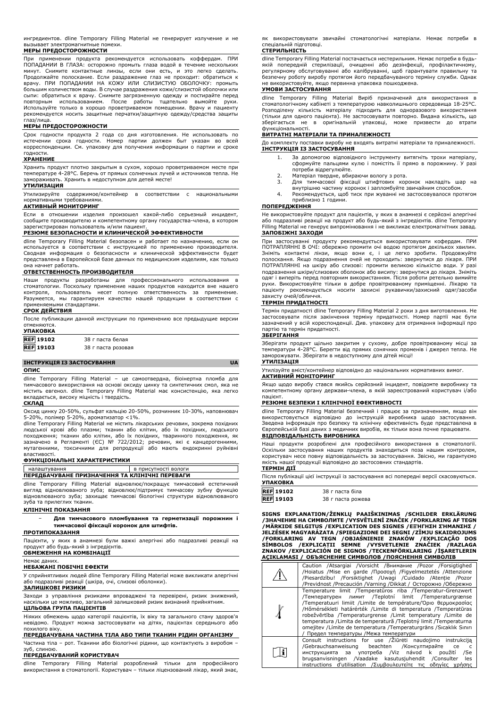ингредиентов. dline Temporary Filling Material не генерирует излучение и не вызывает электромагнитные помехи. **МЕРЫ ПРЕДОСТОРОЖНОСТИ**

При применении продукта рекомендуется использовать коффердам. ПРИ ПОПАДАНИИ В ГЛАЗА: осторожно промыть глаза водой в течение нескольких минут. Снимите контактные линзы, если они есть, и это легко сделать. Продолжайте полоскание. Если раздражение глаз не проходит: обратиться к врачу. ПРИ ПОПАДАНИИ НА КОЖУ ИЛИ СЛИЗИСТУЮ ОБОЛОЧКУ: промыть большим количеством воды. В случае раздражения кожи/слизистой оболочки или сыпи: обратиться к врачу. Снимите загрязненную одежду и постирайте перед повторным использованием. После работы тщательно вымойте руки. Используйте только в хорошо проветриваемом помещении. Врачу и пациенту рекомендуется носить защитные перчатки/защитную одежду/средства защиты глаз/лица.

#### **МЕРЫ ПРЕДОСТОРОЖНОСТИ**

Срок годности продукта 2 года со дня изготовления. Не использовать по истечении срока годности. Номер партии должен быт указан во всей корреспонденции. См. упаковку для получения информации о партии и сроке

# годности. **ХРАНЕНИЕ**

Хранить продукт плотно закрытым в сухом, хорошо проветриваемом месте при температуре 4-28°C. Беречь от прямых солнечных лучей и источников тепла. Не замораживать. Хранить в недоступном для детей месте!

## **УТИЛИЗАЦИЯ**

Утилизируйте содержимое/контейнер в соответствии с национальными нормативными требованиями.

## **АКТИВНЫЙ МОНИТОРИНГ**

Если в отношении изделия произошел какой-либо серьезный инцидент, сообщите производителю и компетентному органу государства-члена, в котором зарегистрирован пользователь и/или пациент.

## **РЕЗЮМЕ БЕЗОПАСНОСТИ И КЛИНИЧЕСКОЙ ЭФФЕКТИВНОСТИ**

dline Temporary Filling Material безопасен и работает по назначению, если он используется в соответствии с инструкцией по применению производителя. Сводная информация о безопасности и клинической эффективности будет представлена в Европейской базе данных по медицинским изделиям, как только она начнет работать.

## **ОТВЕТСТВЕННОСТЬ ПРОИЗВОДИТЕЛЯ**

Наши продукты разработаны для профессионального использования в стоматологии. Поскольку применение наших продуктов находится вне нашего<br>контроля, пользователь несет полную ответственность за применение.<br>Разумеется, мы гарантируем качество нашей продукции в соответствии с применяемыми стандартами.

## **СРОК ДЕЙСТВИЯ**

| После публикации данной инструкции по применению все предыдущие версии |                  |  |  |  |
|------------------------------------------------------------------------|------------------|--|--|--|
| отменяются.                                                            |                  |  |  |  |
| <b>УПАКОВКА</b>                                                        |                  |  |  |  |
| <b>REF</b> 19102                                                       | 38 г паста белая |  |  |  |

| <b>REF</b> 19103 | 38 г паста розовая |
|------------------|--------------------|
|                  |                    |

## **ІНСТРУКЦІЯ ІЗ ЗАСТОСУВАННЯ UA**

## **ОПИС**

dline Temporary Filling Material – це самоотвердна, біоінертна пломба для тимчасового використання на основі оксиду цинку та синтетичних смол, яка не містить евгенол. dline Temporary Filling Material має консистенцію, яка легко вкладається, високу міцність і твердість.

## **СКЛАД**

Оксид цинку 20-50%, сульфат кальцію 20-50%, розчинник 10-30%, наповнювач 5-20%, полімер 5-20%, ароматизатор <1%.

dline Temporary Filling Material не містить лікарських речовин, зокрема похідних людської крові або плазми; тканин або клітин, або їх похідних, людського<br>походження; тканин або клітин, або їх похідних, тваринного походження, як<br>зазначено в Регламенті (ЄС) № 722/2012; речовин, які є канцерогенними,<br>мут властивості.

## **ФУНКЦІОНАЛЬНІ ХАРАКТЕРИСТИКИ**

#### налаштування в присутності воло **ПЕРЕДБАЧУВАНЕ ПРИЗНАЧЕННЯ ТА КЛІНІЧНІ ПЕРЕВАГИ**

dline Temporary Filling Material відновлює/покращує тимчасовий естетичний вигляд відновлюваного зуба; відновлює/підтримує тимчасову зубну функцію відновлюваного зуба; захищає тимчасові біологічні структури відновлюваного зуба та прилеглих тканин.

## **КЛІНІЧНІ ПОКАЗАННЯ**

### − **Для тимчасового пломбування та герметизації порожнин і тимчасової фіксації коронок для штифтів.**

## **ПРОТИПОКАЗАННЯ**

Пацієнти, у яких в анамнезі були важкі алергічні або подразливі реакції на продукт або будь-який з інгредієнтів. **ОБМЕЖЕННЯ НА КОМБІНАЦІЇ**

## Немає даних.

#### **НЕБАЖАНІ ПОБІЧНІ ЕФЕКТИ**

У сприйнятливих людей dline Temporary Filling Material може викликати алергічні або подразливі реакції (шкіра, очі, слизові оболонки).

# **ЗАЛИШКОВІ РИЗИКИ**

Заходи з управління ризиками впроваджені та перевірені, ризик знижений, наскільки це можливо, загальний залишковий ризик визнаний прийнятним. **ЦІЛЬОВА ГРУПА ПАЦІЄНТІВ**

Ніяких обмежень щодо категорії пацієнтів, їх віку та загального стану здоров'я невідомо. Продукт можна застосовувати на дітях, пацієнтах середнього або похилого віку.

# **ПЕРЕДБАЧУВАНА ЧАСТИНА ТІЛА АБО ТИПИ ТКАНИН РІДИН ОРГАНІЗМУ**

Частина тіла – рот. Тканини або біологічні рідини, що контактують з виробом – зуб, слиною.

## **ПЕРЕДБАЧУВАНИЙ КОРИСТУВАЧ**

dline Temporary Filling Material розроблений тільки для професійного використання в стоматології. Користувач – тільки ліцензований лікар, який знає,

як використовувати звичайні стоматологічні матеріали. Немає потреби в спеціальній підготовці.

## **СТЕРИЛЬНІСТЬ**

dline Temporary Filling Material постачається нестерильним. Немає потреби в будьякій попередній стерилізації, очищенні або дезінфекції, профілактичному, регулярному обслуговуванні або калібруванні, щоб гарантувати правильну та безпечну роботу виробу протягом його передбачуваного терміну служби. Однак не використовуйте, якщо первинна упаковка пошкоджена.

## **УМОВИ ЗАСТОСУВАННЯ**

dline Temporary Filling Material Виріб призначений для використання в стоматологічному кабінеті з температурою навколишнього середовища 18-25°C. Розподілену кількість матеріалу підходить для одноразового використання (тільки для одного пацієнта). Не застосовувати повторно. Видана кількість, що зберігається не в оригінальній упаковці, може призвести до втрати функціональності.

## **ВИТРАТНІ МАТЕРІАЛИ ТА ПРИНАЛЕЖНОСТІ**

До комплекту поставки виробу не входять витратні матеріали та приналежності. **ІНСТРУКЦІЯ ІЗ ЗАСТОСУВАННЯ**

- 1. За допомогою відповідного інструменту витягніть трохи матеріалу, сформуйте пальцями кулю і помістіть її прямо в порожнину. У разі потреби відрегулюйте.
- 
- 2. Матеріал твердне, вбираючи вологу з рота. 3. Для тимчасової фіксації штифтових коронок накладіть шар на внутрішню частину коронок і запломбуйте звичайним способом.
- 4. Рекомендується, щоб тиск при жуванні не застосовувалося протягом приблизно 1 години.

## **ПОПЕРЕДЖЕННЯ**

Не використовуйте продукт для пацієнтів, у яких в анамнезі є серйозні алергічні або подразливі реакції на продукт або будь-який з інгредієнтів. dline Temporary Filling Material не генерує випромінювання і не викликає електромагнітних завад. **ЗАПОБІЖНІ ЗАХОДИ**

При застосуванні продукту рекомендується використовувати кофердам. ПРИ ПОТРАПЛЯННІ В ОЧІ: обережно промити очі водою протягом декількох хвилин. Зніміть контактні лінзи, якщо вони є, і це легко зробити. Продовжуйте полоскання. Якщо подразнення очей не проходить: звернутися до лікаря. ПРИ ПОТРАПЛЯННІ на шкіру або слизові: промити великою кількістю води. У разі подразнення шкіри/слизових оболонок або висипу: звернутися до лікаря. Зніміть одяг і виперіть перед повторним використанням. Після роботи ретельно вимийте руки. Використовуйте тільки в добре провітрюваному приміщенні. Лікарю та пацієнту рекомендується носити захисні рукавички/захисний одяг/засоби захисту очей/обличчя.

#### **ТЕРМІН ПРИДАТНОСТІ**

Термін придатності dline Temporary Filling Material 2 роки з дня виготовлення. Не застосовувати після закінчення терміну придатності. Номер партії має бути зазначений у всій кореспонденції. Див. упаковку для отримання інформації про партію та термін придатності.

### **ЗБЕРІГАННЯ**

Зберігати продукт щільно закритим у сухому, добре провітрюваному місці за температури 4-28°C. Берегти від прямих сонячних променів і джерел тепла. Не заморожувати. Зберігати в недоступному для дітей місці!

## **УТИЛІЗАЦІЯ**

Утилізуйте вміст/контейнер відповідно до національних нормативних вимог. **АКТИВНИЙ МОНІТОРИНГ**

Якщо щодо виробу стався якийсь серйозний інцидент, повідомте виробнику та компетентному органу держави-члена, в якій зареєстрований користувач і/або пацієнт.

#### **РЕЗЮМЕ БЕЗПЕКИ І КЛІНІЧНОЇ ЕФЕКТИВНОСТІ**

dline Temporary Filling Material безпечний і працює за призначенням, якщо він використовується відповідно до інструкцій виробника щодо застосування. Зведена інформація про безпеку та клінічну ефективність буде представлена в Європейській базі даних з медичних виробів, як тільки вона почне працювати. **ВІДПОВІДАЛЬНІСТЬ ВИРОБНИКА**

Наші продукти розроблені для професійного використання в стоматології. Оскільки застосування наших продуктів знаходиться поза нашим контролем, користувач несе повну відповідальність за застосування. Звісно, ми гарантуємо якість нашої продукції відповідно до застосовних стандартів.

## **ТЕРМІН ДІЇ**

Після публікації цієї інструкції із застосування всі попередні версії скасовуються. **УПАКОВКА**

| $\overline{\text{REF}}$ 19102 | 38 г паста біла   |
|-------------------------------|-------------------|
| $\overline{\text{REF}}$ 19103 | 38 г паста рожева |

SIGNS EXPLANATION/ZENKLŲ PAAISKINIMAS /SCHILDER ERKLARUNG<br>/ЗНАЧЕНИЕ НА СИМВОЛИТЕ /VYSVĚTLENÍ ZNAČEK /FORKLARING AFTEGN<br>/МÄRKIDE SELGITUS /EXPLICATION DES SIGNES /EΞΉΓΗΣΗ ΣΉΜΑΝΣΗΣ / JELZESEK MAGYARAZATA /SPIEGAZIONE DEI SEGNI /ZIMJU SKAIDROJUMS<br>/FORKLARING AV TEGN /OBJAŚNIENIE ZNAKÓW /EXPLICAÇÃO DOS<br>SÍMBOLOS /EXPLICAȚII SEMNE /VYSVETLENIE ZNAČIEK /RAZLAGA<br>ZNAKOV /EXPLICACIÓN D **AÇIKLAMASI / ОБЪЯСНЕНИЕ СИМВОЛОВ /ПОЯСНЕННЯ СИМВОЛІВ**

| 7 L | Caution /Atsargiai /Vorsicht /Внимание /Pozor /Forsigtighed<br>/Hoiatus /Mise en garde /Προσοχή /Figyelmeztetés /Attenzione<br>/Piesardzību! /Forsiktighet /Uwagi /Cuidado /Atentie /Pozor<br>/Previdnost /Precaución /Varning /Dikkat / Осторожно /Обережно                                                                                                                                                                                                                                               |
|-----|------------------------------------------------------------------------------------------------------------------------------------------------------------------------------------------------------------------------------------------------------------------------------------------------------------------------------------------------------------------------------------------------------------------------------------------------------------------------------------------------------------|
|     | Temperature limit /Temperatūros riba /Temperatur-Grenzwert<br>/Температурен лимит /Teplotní limit /Temperaturgrænse<br>Temperatuuri limiit /Limite de température/Όριο θερμοκρασίας<br>/Hőmérsékleti határérték /Limite di temperatura /Temperatūras<br>robežvērtība /Temperaturgrense /Limit temperatury /Limite de<br>temperatura /Limita de temperatură /Teplotný limit /Temperaturna<br>omejitev / Límite de temperatura / Temperaturgräns / Sıcaklık Sınırı<br>Глредел температуры / Межа температури |
|     | Consult instructions for use / Ziūrėti naudojimo instrukcija<br>beachten /Консултирайте се<br>/Gebrauchsanweisung<br>$\mathsf{C}$<br>инструкцията за употреба /Viz návod<br>použití<br>/Se<br>k.<br>brugsanvisningen /Vaadake kasutusjuhendit /Consulter<br>les<br>instructions d'utilisation / Συμβουλευτείτε τις οδηγίες χρήσης                                                                                                                                                                          |